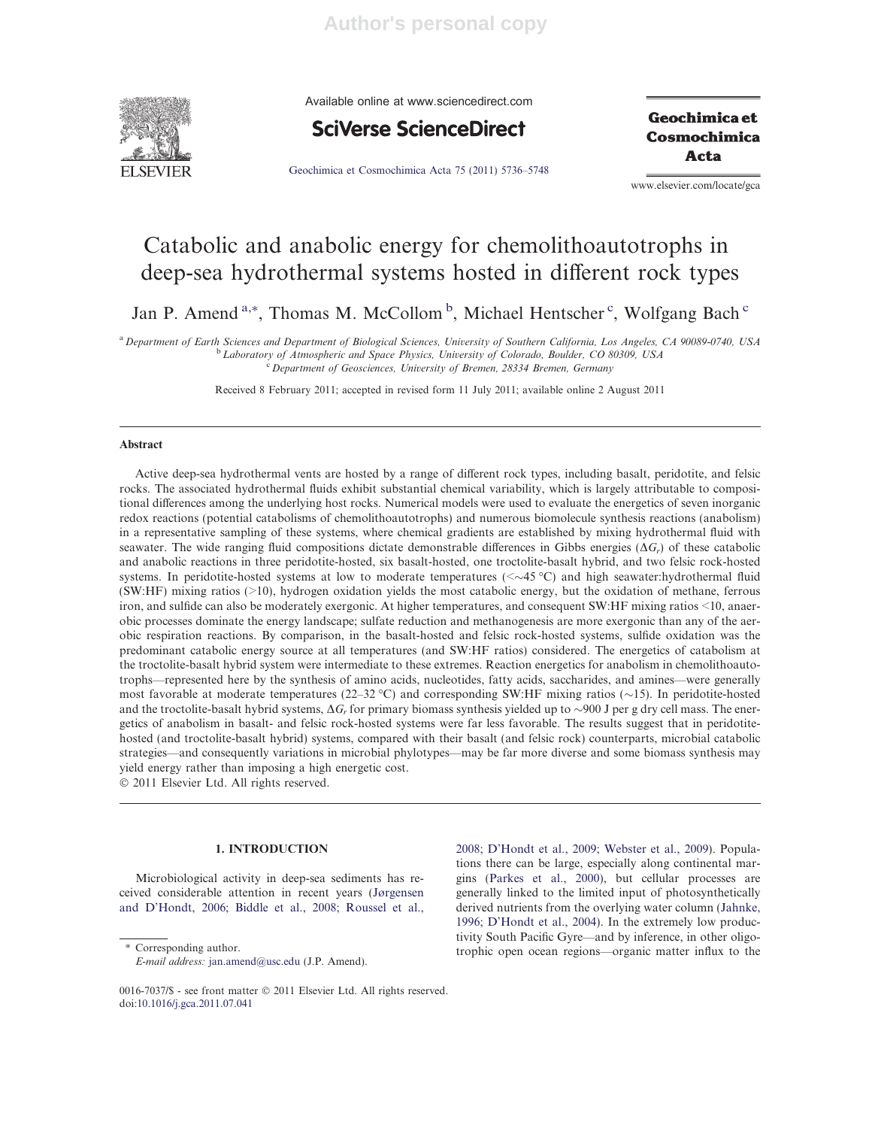

Available online at www.sciencedirect.com

## **SciVerse ScienceDirect**



Geochimica et Cosmochimica Acta 75 (2011) 5736–5748

www.elsevier.com/locate/gca

# Catabolic and anabolic energy for chemolithoautotrophs in deep-sea hydrothermal systems hosted in different rock types

Jan P. Amend<sup>a,\*</sup>, Thomas M. McCollom<sup>b</sup>, Michael Hentscher<sup>c</sup>, Wolfgang Bach<sup>c</sup>

<sup>a</sup> Department of Earth Sciences and Department of Biological Sciences, University of Southern California, Los Angeles, CA 90089-0740, USA <sup>b</sup>Laboratory of Atmospheric and Space Physics, University of Colorado, Boulder, CO 80309, USA

<sup>c</sup> Department of Geosciences, University of Bremen, 28334 Bremen, Germany

Received 8 February 2011; accepted in revised form 11 July 2011; available online 2 August 2011

## Abstract

Active deep-sea hydrothermal vents are hosted by a range of different rock types, including basalt, peridotite, and felsic rocks. The associated hydrothermal fluids exhibit substantial chemical variability, which is largely attributable to compositional differences among the underlying host rocks. Numerical models were used to evaluate the energetics of seven inorganic redox reactions (potential catabolisms of chemolithoautotrophs) and numerous biomolecule synthesis reactions (anabolism) in a representative sampling of these systems, where chemical gradients are established by mixing hydrothermal fluid with seawater. The wide ranging fluid compositions dictate demonstrable differences in Gibbs energies ( $\Delta G_r$ ) of these catabolic and anabolic reactions in three peridotite-hosted, six basalt-hosted, one troctolite-basalt hybrid, and two felsic rock-hosted systems. In peridotite-hosted systems at low to moderate temperatures ( $\leq$  45 °C) and high seawater:hydrothermal fluid (SW:HF) mixing ratios (>10), hydrogen oxidation yields the most catabolic energy, but the oxidation of methane, ferrous iron, and sulfide can also be moderately exergonic. At higher temperatures, and consequent SW:HF mixing ratios <10, anaerobic processes dominate the energy landscape; sulfate reduction and methanogenesis are more exergonic than any of the aerobic respiration reactions. By comparison, in the basalt-hosted and felsic rock-hosted systems, sulfide oxidation was the predominant catabolic energy source at all temperatures (and SW:HF ratios) considered. The energetics of catabolism at the troctolite-basalt hybrid system were intermediate to these extremes. Reaction energetics for anabolism in chemolithoautotrophs—represented here by the synthesis of amino acids, nucleotides, fatty acids, saccharides, and amines—were generally most favorable at moderate temperatures (22–32 °C) and corresponding SW:HF mixing ratios ( $\sim$ 15). In peridotite-hosted and the troctolite-basalt hybrid systems,  $\Delta G_r$  for primary biomass synthesis yielded up to  $\sim$ 900 J per g dry cell mass. The energetics of anabolism in basalt- and felsic rock-hosted systems were far less favorable. The results suggest that in peridotitehosted (and troctolite-basalt hybrid) systems, compared with their basalt (and felsic rock) counterparts, microbial catabolic strategies—and consequently variations in microbial phylotypes—may be far more diverse and some biomass synthesis may yield energy rather than imposing a high energetic cost. 2011 Elsevier Ltd. All rights reserved.

## 1. INTRODUCTION

Microbiological activity in deep-sea sediments has received considerable attention in recent years (Jørgensen and D'Hondt, 2006; Biddle et al., 2008; Roussel et al.,

0016-7037/\$ - see front matter © 2011 Elsevier Ltd. All rights reserved.

⇑ Corresponding author.

doi:10.1016/j.gca.2011.07.041

E-mail address: jan.amend@usc.edu (J.P. Amend).

2008; D'Hondt et al., 2009; Webster et al., 2009). Populations there can be large, especially along continental margins (Parkes et al., 2000), but cellular processes are generally linked to the limited input of photosynthetically derived nutrients from the overlying water column (Jahnke, 1996; D'Hondt et al., 2004). In the extremely low productivity South Pacific Gyre—and by inference, in other oligotrophic open ocean regions—organic matter influx to the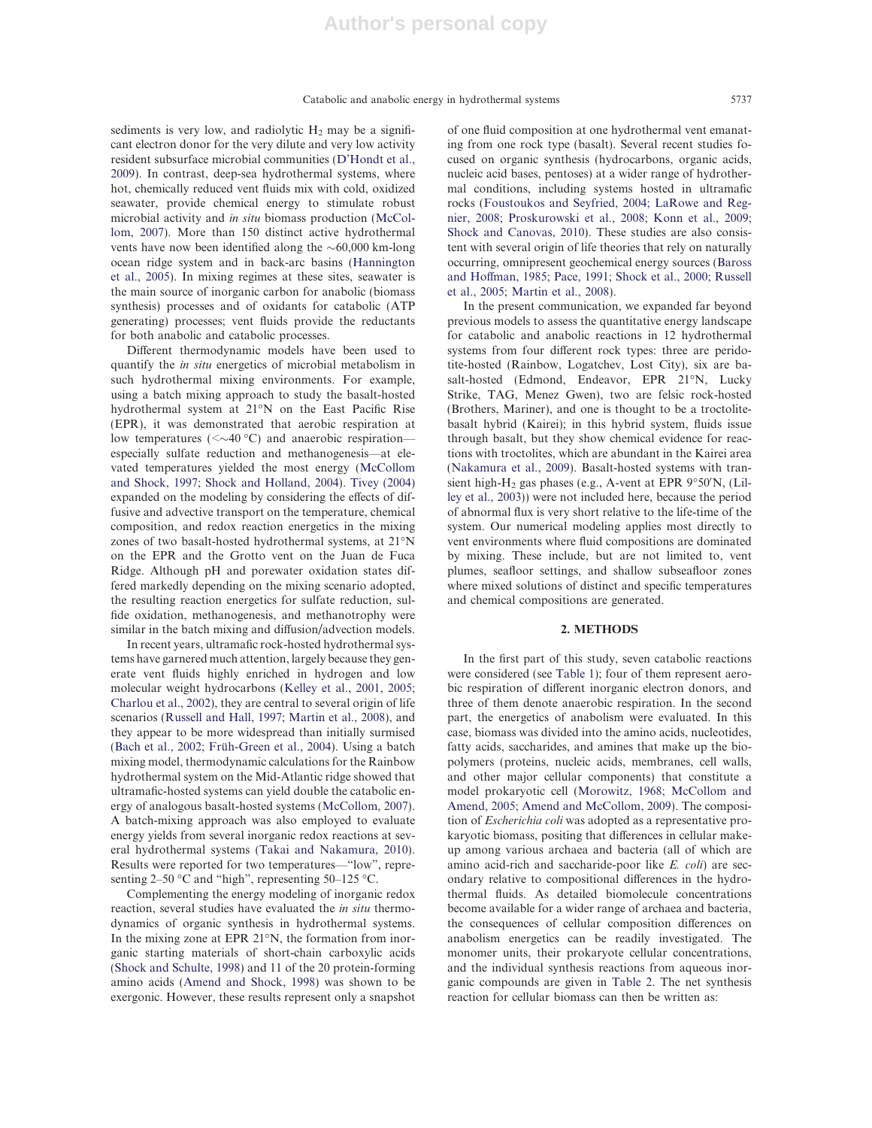sediments is very low, and radiolytic  $H_2$  may be a significant electron donor for the very dilute and very low activity resident subsurface microbial communities (D'Hondt et al., 2009). In contrast, deep-sea hydrothermal systems, where hot, chemically reduced vent fluids mix with cold, oxidized seawater, provide chemical energy to stimulate robust microbial activity and in situ biomass production (McCollom, 2007). More than 150 distinct active hydrothermal vents have now been identified along the  $\sim 60,000$  km-long ocean ridge system and in back-arc basins (Hannington et al., 2005). In mixing regimes at these sites, seawater is the main source of inorganic carbon for anabolic (biomass synthesis) processes and of oxidants for catabolic (ATP generating) processes; vent fluids provide the reductants for both anabolic and catabolic processes.

Different thermodynamic models have been used to quantify the in situ energetics of microbial metabolism in such hydrothermal mixing environments. For example, using a batch mixing approach to study the basalt-hosted hydrothermal system at 21°N on the East Pacific Rise (EPR), it was demonstrated that aerobic respiration at low temperatures ( $\leq$  -40 °C) and anaerobic respiration especially sulfate reduction and methanogenesis—at elevated temperatures yielded the most energy (McCollom and Shock, 1997; Shock and Holland, 2004). Tivey (2004) expanded on the modeling by considering the effects of diffusive and advective transport on the temperature, chemical composition, and redox reaction energetics in the mixing zones of two basalt-hosted hydrothermal systems, at 21°N on the EPR and the Grotto vent on the Juan de Fuca Ridge. Although pH and porewater oxidation states differed markedly depending on the mixing scenario adopted, the resulting reaction energetics for sulfate reduction, sulfide oxidation, methanogenesis, and methanotrophy were similar in the batch mixing and diffusion/advection models.

In recent years, ultramafic rock-hosted hydrothermal systems have garnered much attention, largely because they generate vent fluids highly enriched in hydrogen and low molecular weight hydrocarbons (Kelley et al., 2001, 2005; Charlou et al., 2002), they are central to several origin of life scenarios (Russell and Hall, 1997; Martin et al., 2008), and they appear to be more widespread than initially surmised (Bach et al., 2002; Früh-Green et al., 2004). Using a batch mixing model, thermodynamic calculations for the Rainbow hydrothermal system on the Mid-Atlantic ridge showed that ultramafic-hosted systems can yield double the catabolic energy of analogous basalt-hosted systems (McCollom, 2007). A batch-mixing approach was also employed to evaluate energy yields from several inorganic redox reactions at several hydrothermal systems (Takai and Nakamura, 2010). Results were reported for two temperatures—"low", representing 2–50 °C and "high", representing 50–125 °C.

Complementing the energy modeling of inorganic redox reaction, several studies have evaluated the in situ thermodynamics of organic synthesis in hydrothermal systems. In the mixing zone at EPR  $21^{\circ}$ N, the formation from inorganic starting materials of short-chain carboxylic acids (Shock and Schulte, 1998) and 11 of the 20 protein-forming amino acids (Amend and Shock, 1998) was shown to be exergonic. However, these results represent only a snapshot

of one fluid composition at one hydrothermal vent emanating from one rock type (basalt). Several recent studies focused on organic synthesis (hydrocarbons, organic acids, nucleic acid bases, pentoses) at a wider range of hydrothermal conditions, including systems hosted in ultramafic rocks (Foustoukos and Seyfried, 2004; LaRowe and Regnier, 2008; Proskurowski et al., 2008; Konn et al., 2009; Shock and Canovas, 2010). These studies are also consistent with several origin of life theories that rely on naturally occurring, omnipresent geochemical energy sources (Baross and Hoffman, 1985; Pace, 1991; Shock et al., 2000; Russell et al., 2005; Martin et al., 2008).

In the present communication, we expanded far beyond previous models to assess the quantitative energy landscape for catabolic and anabolic reactions in 12 hydrothermal systems from four different rock types: three are peridotite-hosted (Rainbow, Logatchev, Lost City), six are basalt-hosted (Edmond, Endeavor, EPR 21°N, Lucky Strike, TAG, Menez Gwen), two are felsic rock-hosted (Brothers, Mariner), and one is thought to be a troctolitebasalt hybrid (Kairei); in this hybrid system, fluids issue through basalt, but they show chemical evidence for reactions with troctolites, which are abundant in the Kairei area (Nakamura et al., 2009). Basalt-hosted systems with transient high- $H_2$  gas phases (e.g., A-vent at EPR  $9°50'N$ , (Lilley et al., 2003)) were not included here, because the period of abnormal flux is very short relative to the life-time of the system. Our numerical modeling applies most directly to vent environments where fluid compositions are dominated by mixing. These include, but are not limited to, vent plumes, seafloor settings, and shallow subseafloor zones where mixed solutions of distinct and specific temperatures and chemical compositions are generated.

## 2. METHODS

In the first part of this study, seven catabolic reactions were considered (see Table 1); four of them represent aerobic respiration of different inorganic electron donors, and three of them denote anaerobic respiration. In the second part, the energetics of anabolism were evaluated. In this case, biomass was divided into the amino acids, nucleotides, fatty acids, saccharides, and amines that make up the biopolymers (proteins, nucleic acids, membranes, cell walls, and other major cellular components) that constitute a model prokaryotic cell (Morowitz, 1968; McCollom and Amend, 2005; Amend and McCollom, 2009). The composition of Escherichia coli was adopted as a representative prokaryotic biomass, positing that differences in cellular makeup among various archaea and bacteria (all of which are amino acid-rich and saccharide-poor like E. coli) are secondary relative to compositional differences in the hydrothermal fluids. As detailed biomolecule concentrations become available for a wider range of archaea and bacteria, the consequences of cellular composition differences on anabolism energetics can be readily investigated. The monomer units, their prokaryote cellular concentrations, and the individual synthesis reactions from aqueous inorganic compounds are given in Table 2. The net synthesis reaction for cellular biomass can then be written as: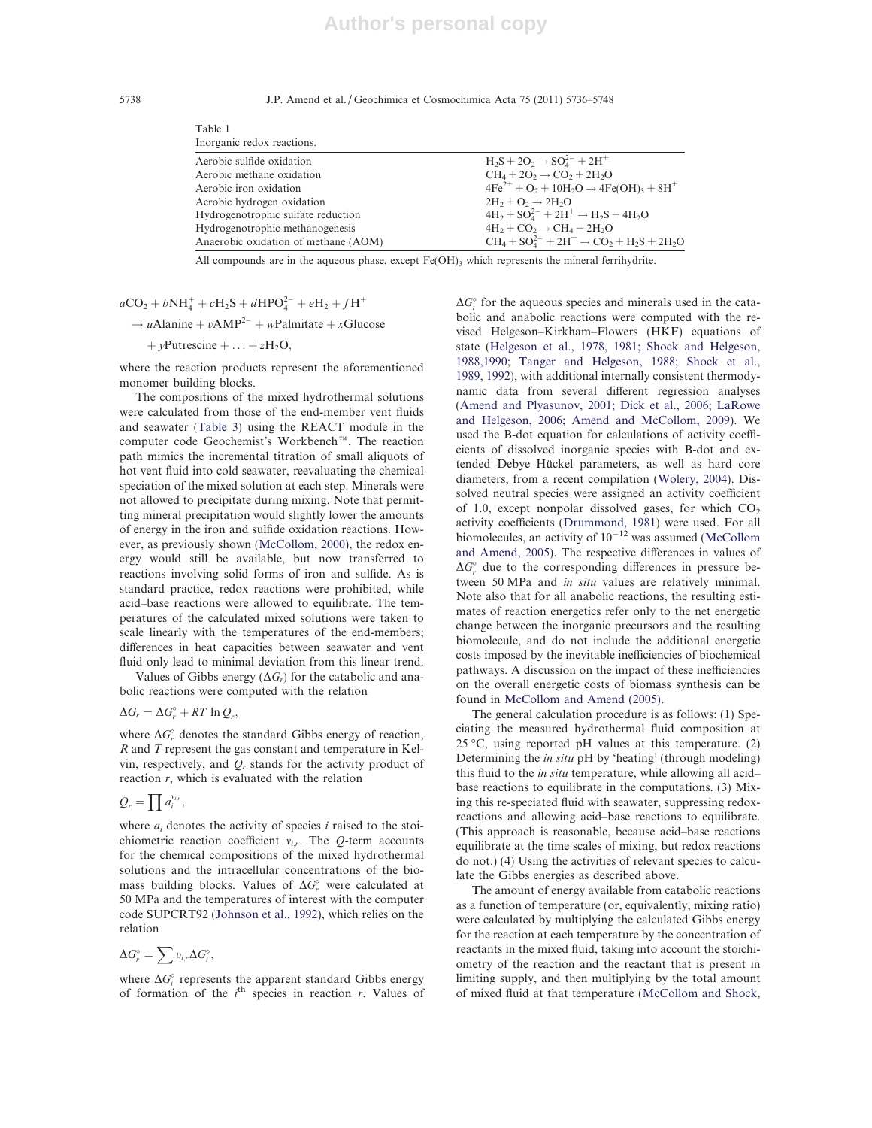| Table 1                              |                                                           |
|--------------------------------------|-----------------------------------------------------------|
| Inorganic redox reactions.           |                                                           |
| Aerobic sulfide oxidation            | $H_2S + 2O_2 \rightarrow SO_4^{2-} + 2H^+$                |
| Aerobic methane oxidation            | $CH4 + 2O2 \rightarrow CO2 + 2H2O$                        |
| Aerobic iron oxidation               | $4Fe^{2+} + O_2 + 10H_2O \rightarrow 4Fe(OH)_3 + 8H^+$    |
| Aerobic hydrogen oxidation           | $2H_2 + O_2 \rightarrow 2H_2O$                            |
| Hydrogenotrophic sulfate reduction   | $4H_2 + SO_4^{2-} + 2H^+ \rightarrow H_2S + 4H_2O$        |
| Hydrogenotrophic methanogenesis      | $4H_2 + CO_2 \rightarrow CH_4 + 2H_2O$                    |
| Anaerobic oxidation of methane (AOM) | $CH_4 + SO_4^{2-} + 2H^+ \rightarrow CO_2 + H_2S + 2H_2O$ |

All compounds are in the aqueous phase, except  $Fe(OH)$ <sub>3</sub> which represents the mineral ferrihydrite.

 $a\text{CO}_2 + b\text{NH}_4^+ + c\text{H}_2\text{S} + d\text{HPO}_4^{2-} + e\text{H}_2 + f\text{H}^+$ 

 $\rightarrow u$ Alanine + vAMP<sup>2-</sup> + wPalmitate + xGlucose

 $+ y$ Putrescine  $+ \ldots + zH_2O$ ,

where the reaction products represent the aforementioned monomer building blocks.

The compositions of the mixed hydrothermal solutions were calculated from those of the end-member vent fluids and seawater (Table 3) using the REACT module in the computer code Geochemist's Workbench<sup>7M</sup>. The reaction path mimics the incremental titration of small aliquots of hot vent fluid into cold seawater, reevaluating the chemical speciation of the mixed solution at each step. Minerals were not allowed to precipitate during mixing. Note that permitting mineral precipitation would slightly lower the amounts of energy in the iron and sulfide oxidation reactions. However, as previously shown (McCollom, 2000), the redox energy would still be available, but now transferred to reactions involving solid forms of iron and sulfide. As is standard practice, redox reactions were prohibited, while acid–base reactions were allowed to equilibrate. The temperatures of the calculated mixed solutions were taken to scale linearly with the temperatures of the end-members; differences in heat capacities between seawater and vent fluid only lead to minimal deviation from this linear trend.

Values of Gibbs energy  $(\Delta G_r)$  for the catabolic and anabolic reactions were computed with the relation

 $\Delta G_r = \Delta G_r^{\circ} + RT \ln Q_r,$ 

where  $\Delta G_r^{\circ}$  denotes the standard Gibbs energy of reaction, R and T represent the gas constant and temperature in Kelvin, respectively, and  $Q_r$  stands for the activity product of reaction r, which is evaluated with the relation

$$
Q_r=\prod a_i^{\nu_{i,r}},
$$

where  $a_i$  denotes the activity of species i raised to the stoichiometric reaction coefficient  $v_{i,r}$ . The Q-term accounts for the chemical compositions of the mixed hydrothermal solutions and the intracellular concentrations of the biomass building blocks. Values of  $\Delta G_r^{\circ}$  were calculated at 50 MPa and the temperatures of interest with the computer code SUPCRT92 (Johnson et al., 1992), which relies on the relation

$$
\Delta G_r^{\circ} = \sum v_{i,r} \Delta G_i^{\circ},
$$

where  $\Delta G_i^{\circ}$  represents the apparent standard Gibbs energy of formation of the  $i<sup>th</sup>$  species in reaction r. Values of

 $\Delta G_i^{\circ}$  for the aqueous species and minerals used in the catabolic and anabolic reactions were computed with the revised Helgeson–Kirkham–Flowers (HKF) equations of state (Helgeson et al., 1978, 1981; Shock and Helgeson, 1988,1990; Tanger and Helgeson, 1988; Shock et al., 1989, 1992), with additional internally consistent thermodynamic data from several different regression analyses (Amend and Plyasunov, 2001; Dick et al., 2006; LaRowe and Helgeson, 2006; Amend and McCollom, 2009). We used the B-dot equation for calculations of activity coefficients of dissolved inorganic species with B-dot and extended Debye–Hückel parameters, as well as hard core diameters, from a recent compilation (Wolery, 2004). Dissolved neutral species were assigned an activity coefficient of 1.0, except nonpolar dissolved gases, for which  $CO<sub>2</sub>$ activity coefficients (Drummond, 1981) were used. For all biomolecules, an activity of  $10^{-12}$  was assumed (McCollom and Amend, 2005). The respective differences in values of  $\Delta G_r^{\circ}$  due to the corresponding differences in pressure between 50 MPa and in situ values are relatively minimal. Note also that for all anabolic reactions, the resulting estimates of reaction energetics refer only to the net energetic change between the inorganic precursors and the resulting biomolecule, and do not include the additional energetic costs imposed by the inevitable inefficiencies of biochemical pathways. A discussion on the impact of these inefficiencies on the overall energetic costs of biomass synthesis can be found in McCollom and Amend (2005).

The general calculation procedure is as follows: (1) Speciating the measured hydrothermal fluid composition at 25 °C, using reported pH values at this temperature.  $(2)$ Determining the in situ pH by 'heating' (through modeling) this fluid to the *in situ* temperature, while allowing all acidbase reactions to equilibrate in the computations. (3) Mixing this re-speciated fluid with seawater, suppressing redoxreactions and allowing acid–base reactions to equilibrate. (This approach is reasonable, because acid–base reactions equilibrate at the time scales of mixing, but redox reactions do not.) (4) Using the activities of relevant species to calculate the Gibbs energies as described above.

The amount of energy available from catabolic reactions as a function of temperature (or, equivalently, mixing ratio) were calculated by multiplying the calculated Gibbs energy for the reaction at each temperature by the concentration of reactants in the mixed fluid, taking into account the stoichiometry of the reaction and the reactant that is present in limiting supply, and then multiplying by the total amount of mixed fluid at that temperature (McCollom and Shock,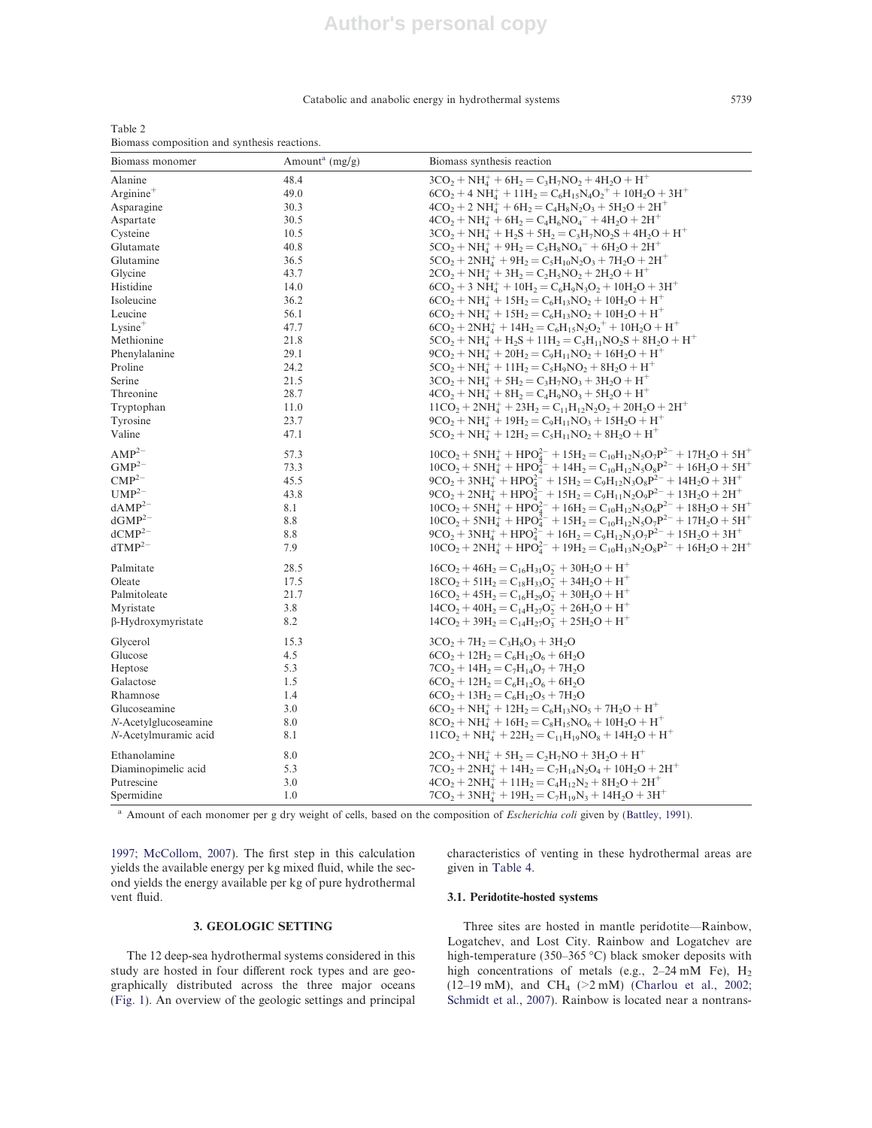Table 2 Biomass composition and synthesis reactions.

| Biomass monomer           | Amount <sup>a</sup> $(mg/g)$ | Biomass synthesis reaction                                                         |
|---------------------------|------------------------------|------------------------------------------------------------------------------------|
| Alanine                   | 48.4                         | $3CO_2 + NH_4^+ + 6H_2 = C_3H_7NO_2 + 4H_2O + H^+$                                 |
| $Arginine^+$              | 49.0                         | $6CO_2 + 4NH_4^+ + 11H_2 = C_6H_{15}N_4O_2^+ + 10H_2O + 3H^+$                      |
| Asparagine                | 30.3                         | $4CO_2 + 2NH_4^+ + 6H_2 = C_4H_8N_2O_3 + 5H_2O + 2H^+$                             |
| Aspartate                 | 30.5                         | $4CO_2 + NH_4^+ + 6H_2 = C_4H_6NO_4^- + 4H_2O + 2H^+$                              |
| Cysteine                  | 10.5                         | $3CO_2 + NH_4^+ + H_2S + 5H_2 = C_3H_7NO_2S + 4H_2O + H^+$                         |
| Glutamate                 | 40.8                         | $5CO_2 + NH_4^+ + 9H_2 = C_5H_8NO_4^- + 6H_2O + 2H^+$                              |
| Glutamine                 | 36.5                         | $5CO_2 + 2NH_4^+ + 9H_2 = C_5H_{10}N_2O_3 + 7H_2O + 2H^+$                          |
| Glycine                   | 43.7                         | $2CO_2 + NH_4^+ + 3H_2 = C_2H_5NO_2 + 2H_2O + H^+$                                 |
| Histidine                 | 14.0                         | $6CO_2 + 3NH_4^+ + 10H_2 = C_6H_9N_3O_2 + 10H_2O + 3H^+$                           |
| Isoleucine                | 36.2                         | $6CO_2 + NH_4^+ + 15H_2 = C_6H_{13}NO_2 + 10H_2O + H^+$                            |
| Leucine                   | 56.1                         | $6CO_2 + NH_4^+ + 15H_2 = C_6H_{13}NO_2 + 10H_2O + H^+$                            |
| $Lysine^+$                | 47.7                         | $6CO_2 + 2NH_4^+ + 14H_2 = C_6H_{15}N_2O_2^+ + 10H_2O + H^+$                       |
| Methionine                | 21.8                         | $5CO_2 + NH_4^+ + H_2S + 11H_2 = C_5H_{11}NO_2S + 8H_2O + H^+$                     |
| Phenylalanine             | 29.1                         | $9CO_2 + NH_4^+ + 20H_2 = C_9H_{11}NO_2 + 16H_2O + H^+$                            |
| Proline                   | 24.2                         | $5CO_2 + NH_4^+ + 11H_2 = C_5H_9NO_2 + 8H_2O + H^+$                                |
| Serine                    | 21.5                         | $3CO_2 + NH_4^+ + 5H_2 = C_3H_7NO_3 + 3H_2O + H^+$                                 |
| Threonine                 | 28.7                         | $4CO_2 + NH_4^+ + 8H_2 = C_4H_9NO_3 + 5H_2O + H^+$                                 |
| Tryptophan                | 11.0                         | $11CO_2 + 2NH_4^+ + 23H_2 = C_{11}H_{12}N_2O_2 + 20H_2O + 2H^+$                    |
| Tyrosine                  | 23.7                         | $9CO_2 + NH_4^+ + 19H_2 = C_9H_{11}NO_3 + 15H_2O + H^+$                            |
| Valine                    | 47.1                         | $5CO_2 + NH_4^+ + 12H_2 = C_5H_{11}NO_2 + 8H_2O + H^+$                             |
| $\mathrm{AMP}^{2-}$       | 57.3                         | $10CO_2 + 5NH_4^+ + HPO_4^{2-} + 15H_2 = C_{10}H_{12}N_5O_7P^{2-} + 17H_2O + 5H^+$ |
| ${\rm GMP}^{2-}$          | 73.3                         | $10CO_2 + 5NH_4^+ + HPO_4^{2-} + 14H_2 = C_{10}H_{12}N_5O_8P^{2-} + 16H_2O + 5H^+$ |
| $\mathrm{CMP}^{2-}$       | 45.5                         | $9CO_2 + 3NH_4^+ + HPO_4^{2-} + 15H_2 = C_9H_{12}N_3O_8P^{2-} + 14H_2O + 3H^+$     |
| $UMP^{2-}$                | 43.8                         | $9CO_2 + 2NH_4^+ + HPO_4^{2-} + 15H_2 = C_9H_{11}N_2O_9P^{2-} + 13H_2O + 2H^+$     |
| $dAMP^{2-}$               | 8.1                          | $10CO_2 + 5NH_4^+ + HPO_4^{2-} + 16H_2 = C_{10}H_{12}N_5O_6P^{2-} + 18H_2O + 5H^+$ |
| $dGMP^{2-}$               | 8.8                          | $10CO_2 + 5NH_4^+ + HPO_4^{2-} + 15H_2 = C_{10}H_{12}N_5O_7P^{2-} + 17H_2O + 5H^+$ |
| dCMP <sup>2</sup>         | 8.8                          | $9CO_2 + 3NH_4^+ + HPO_4^{2-} + 16H_2 = C_9H_{12}N_3O_7P^{2-} + 15H_2O + 3H^+$     |
| $dTMP^2$                  | 7.9                          | $10CO_2 + 2NH_4^+ + HPO_4^{2-} + 19H_2 = C_{10}H_{13}N_2O_8P^{2-} + 16H_2O + 2H^+$ |
| Palmitate                 | 28.5                         | $16CO_2 + 46H_2 = C_{16}H_{31}O_2 + 30H_2O + H^+$                                  |
| Oleate                    | 17.5                         | $18CO_2 + 51H_2 = C_{18}H_{33}O_2 + 34H_2O + H^+$                                  |
| Palmitoleate              | 21.7                         | $16CO_2 + 45H_2 = C_{16}H_{29}O_2 + 30H_2O + H^+$                                  |
| Myristate                 | 3.8                          | $14CO_2 + 40H_2 = C_{14}H_{27}O_2 + 26H_2O + H^+$                                  |
| $\beta$ -Hydroxymyristate | 8.2                          | $14CO_2 + 39H_2 = C_{14}H_{27}O_2 + 25H_2O + H^+$                                  |
| Glycerol                  | 15.3                         | $3CO_2 + 7H_2 = C_3H_8O_3 + 3H_2O$                                                 |
| Glucose                   | 4.5                          | $6CO_2 + 12H_2 = C_6H_{12}O_6 + 6H_2O$                                             |
| Heptose                   | 5.3                          | $7CO_2 + 14H_2 = C_7H_{14}O_7 + 7H_2O$                                             |
| Galactose                 | 1.5                          | $6CO_2 + 12H_2 = C_6H_{12}O_6 + 6H_2O$                                             |
| Rhamnose                  | 1.4                          | $6CO_2 + 13H_2 = C_6H_{12}O_5 + 7H_2O$                                             |
| Glucoseamine              | 3.0                          | $6CO_2 + NH_4^+ + 12H_2 = C_6H_{13}NO_5 + 7H_2O + H^+$                             |
| N-Acetylglucoseamine      | 8.0                          | $8CO_2 + NH_4^+ + 16H_2 = C_8H_15NO_6 + 10H_2O + H^+$                              |
| N-Acetylmuramic acid      | 8.1                          | $11CO_2 + NH_4^+ + 22H_2 = C_{11}H_{19}NO_8 + 14H_2O + H^+$                        |
| Ethanolamine              | 8.0                          | $2CO_2 + NH_4^+ + 5H_2 = C_2H_7NO + 3H_2O + H^+$                                   |
| Diaminopimelic acid       | 5.3                          | $7CO_2 + 2NH_4^+ + 14H_2 = C_7H_{14}N_2O_4 + 10H_2O + 2H^+$                        |
| Putrescine                | 3.0                          | $4CO_2 + 2NH_4^+ + 11H_2 = C_4H_{12}N_2 + 8H_2O + 2H^+$                            |
| Spermidine                | 1.0                          | $7CO_2 + 3NH_4^+ + 19H_2 = C_7H_{19}N_3 + 14H_2O + 3H^+$                           |
|                           |                              |                                                                                    |

<sup>a</sup> Amount of each monomer per g dry weight of cells, based on the composition of *Escherichia coli* given by (Battley, 1991).

1997; McCollom, 2007). The first step in this calculation yields the available energy per kg mixed fluid, while the second yields the energy available per kg of pure hydrothermal vent fluid.

## 3. GEOLOGIC SETTING

The 12 deep-sea hydrothermal systems considered in this study are hosted in four different rock types and are geographically distributed across the three major oceans (Fig. 1). An overview of the geologic settings and principal characteristics of venting in these hydrothermal areas are given in Table 4.

## 3.1. Peridotite-hosted systems

Three sites are hosted in mantle peridotite—Rainbow, Logatchev, and Lost City. Rainbow and Logatchev are high-temperature (350–365 °C) black smoker deposits with high concentrations of metals (e.g., 2-24 mM Fe), H<sub>2</sub>  $(12-19 \text{ mM})$ , and CH<sub>4</sub> ( $>2 \text{ mM}$ ) (Charlou et al., 2002; Schmidt et al., 2007). Rainbow is located near a nontrans-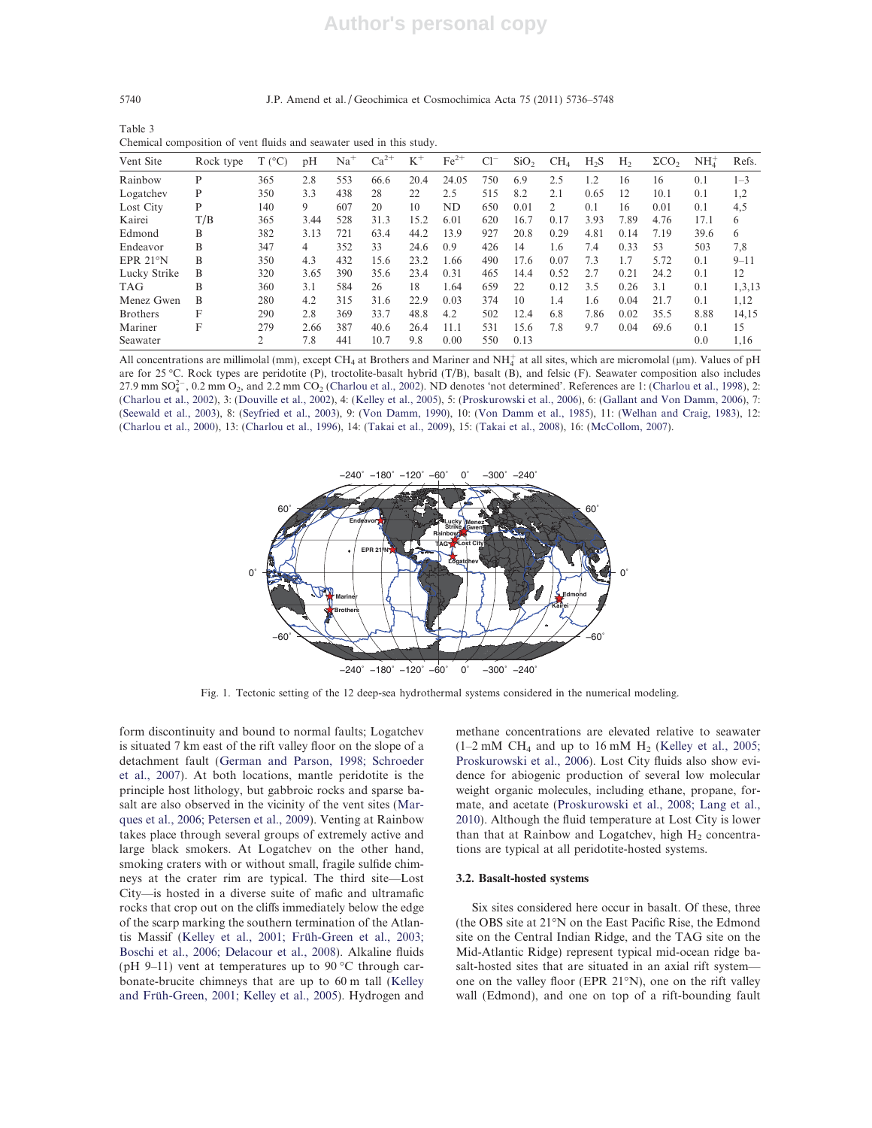| Chemical composition of vent fluids and seawater used in this study. |           |                 |      |       |           |       |                    |          |                  |                 |          |                |                          |                 |          |
|----------------------------------------------------------------------|-----------|-----------------|------|-------|-----------|-------|--------------------|----------|------------------|-----------------|----------|----------------|--------------------------|-----------------|----------|
| Vent Site                                                            | Rock type | $T (^{\circ}C)$ | pH   | $Na+$ | $Ca^{2+}$ | $K^+$ | $\mathrm{Fe}^{2+}$ | $Cl^{-}$ | SiO <sub>2</sub> | CH <sub>4</sub> | $H_{2}S$ | H <sub>2</sub> | $\Sigma$ CO <sub>2</sub> | NH <sub>4</sub> | Refs.    |
| Rainbow                                                              | P         | 365             | 2.8  | 553   | 66.6      | 20.4  | 24.05              | 750      | 6.9              | 2.5             | 1.2      | 16             | 16                       | 0.1             | $1 - 3$  |
| Logatchev                                                            | P         | 350             | 3.3  | 438   | 28        | 22    | 2.5                | 515      | 8.2              | 2.1             | 0.65     | 12             | 10.1                     | 0.1             | 1,2      |
| Lost City                                                            | P         | 140             | 9    | 607   | 20        | 10    | ND.                | 650      | 0.01             | 2               | 0.1      | 16             | 0.01                     | 0.1             | 4,5      |
| Kairei                                                               | T/B       | 365             | 3.44 | 528   | 31.3      | 15.2  | 6.01               | 620      | 16.7             | 0.17            | 3.93     | 7.89           | 4.76                     | 17.1            | 6        |
| Edmond                                                               | в         | 382             | 3.13 | 721   | 63.4      | 44.2  | 13.9               | 927      | 20.8             | 0.29            | 4.81     | 0.14           | 7.19                     | 39.6            | 6        |
| Endeavor                                                             | B         | 347             | 4    | 352   | 33        | 24.6  | 0.9                | 426      | 14               | 1.6             | 7.4      | 0.33           | 53                       | 503             | 7,8      |
| EPR $21°N$                                                           | B         | 350             | 4.3  | 432   | 15.6      | 23.2  | 1.66               | 490      | 17.6             | 0.07            | 7.3      | 1.7            | 5.72                     | 0.1             | $9 - 11$ |
| Lucky Strike                                                         | B         | 320             | 3.65 | 390   | 35.6      | 23.4  | 0.31               | 465      | 14.4             | 0.52            | 2.7      | 0.21           | 24.2                     | 0.1             | 12       |
| <b>TAG</b>                                                           | B         | 360             | 3.1  | 584   | 26        | 18    | 1.64               | 659      | 22               | 0.12            | 3.5      | 0.26           | 3.1                      | 0.1             | 1,3,13   |
| Menez Gwen                                                           | B         | 280             | 4.2  | 315   | 31.6      | 22.9  | 0.03               | 374      | 10               | 1.4             | 1.6      | 0.04           | 21.7                     | 0.1             | 1,12     |
| <b>Brothers</b>                                                      | F         | 290             | 2.8  | 369   | 33.7      | 48.8  | 4.2                | 502      | 12.4             | 6.8             | 7.86     | 0.02           | 35.5                     | 8.88            | 14,15    |
| Mariner                                                              | F         | 279             | 2.66 | 387   | 40.6      | 26.4  | 11.1               | 531      | 15.6             | 7.8             | 9.7      | 0.04           | 69.6                     | 0.1             | 15       |
| Seawater                                                             |           | 2               | 7.8  | 441   | 10.7      | 9.8   | 0.00               | 550      | 0.13             |                 |          |                |                          | 0.0             | 1,16     |

All concentrations are millimolal (mm), except CH<sub>4</sub> at Brothers and Mariner and NH<sub>4</sub><sup>+</sup> at all sites, which are micromolal (µm). Values of pH are for 25 °C. Rock types are peridotite (P), troctolite-basalt hybrid (T/B), basalt (B), and felsic (F). Seawater composition also includes 27.9 mm  $\text{SO}_4^{2-}$ , 0.2 mm  $\text{O}_2$ , and 2.2 mm  $\text{CO}_2$  (Charlou et al., 2002). ND denotes 'not determined'. References are 1: (Charlou et al., 1998), 2: (Charlou et al., 2002), 3: (Douville et al., 2002), 4: (Kelley et al., 2005), 5: (Proskurowski et al., 2006), 6: (Gallant and Von Damm, 2006), 7: (Seewald et al., 2003), 8: (Seyfried et al., 2003), 9: (Von Damm, 1990), 10: (Von Damm et al., 1985), 11: (Welhan and Craig, 1983), 12: (Charlou et al., 2000), 13: (Charlou et al., 1996), 14: (Takai et al., 2009), 15: (Takai et al., 2008), 16: (McCollom, 2007).



Fig. 1. Tectonic setting of the 12 deep-sea hydrothermal systems considered in the numerical modeling.

form discontinuity and bound to normal faults; Logatchev is situated 7 km east of the rift valley floor on the slope of a detachment fault (German and Parson, 1998; Schroeder et al., 2007). At both locations, mantle peridotite is the principle host lithology, but gabbroic rocks and sparse basalt are also observed in the vicinity of the vent sites (Marques et al., 2006; Petersen et al., 2009). Venting at Rainbow takes place through several groups of extremely active and large black smokers. At Logatchev on the other hand, smoking craters with or without small, fragile sulfide chimneys at the crater rim are typical. The third site—Lost City—is hosted in a diverse suite of mafic and ultramafic rocks that crop out on the cliffs immediately below the edge of the scarp marking the southern termination of the Atlantis Massif (Kelley et al., 2001; Früh-Green et al., 2003; Boschi et al., 2006; Delacour et al., 2008). Alkaline fluids (pH 9–11) vent at temperatures up to 90  $\degree$ C through carbonate-brucite chimneys that are up to 60 m tall (Kelley and Früh-Green, 2001; Kelley et al., 2005). Hydrogen and

methane concentrations are elevated relative to seawater  $(1-2 \text{ mM } CH_4 \text{ and up to } 16 \text{ mM } H_2$  (Kelley et al., 2005; Proskurowski et al., 2006). Lost City fluids also show evidence for abiogenic production of several low molecular weight organic molecules, including ethane, propane, formate, and acetate (Proskurowski et al., 2008; Lang et al., 2010). Although the fluid temperature at Lost City is lower than that at Rainbow and Logatchev, high  $H<sub>2</sub>$  concentrations are typical at all peridotite-hosted systems.

#### 3.2. Basalt-hosted systems

Six sites considered here occur in basalt. Of these, three (the OBS site at 21°N on the East Pacific Rise, the Edmond site on the Central Indian Ridge, and the TAG site on the Mid-Atlantic Ridge) represent typical mid-ocean ridge basalt-hosted sites that are situated in an axial rift system one on the valley floor (EPR 21°N), one on the rift valley wall (Edmond), and one on top of a rift-bounding fault

Table 3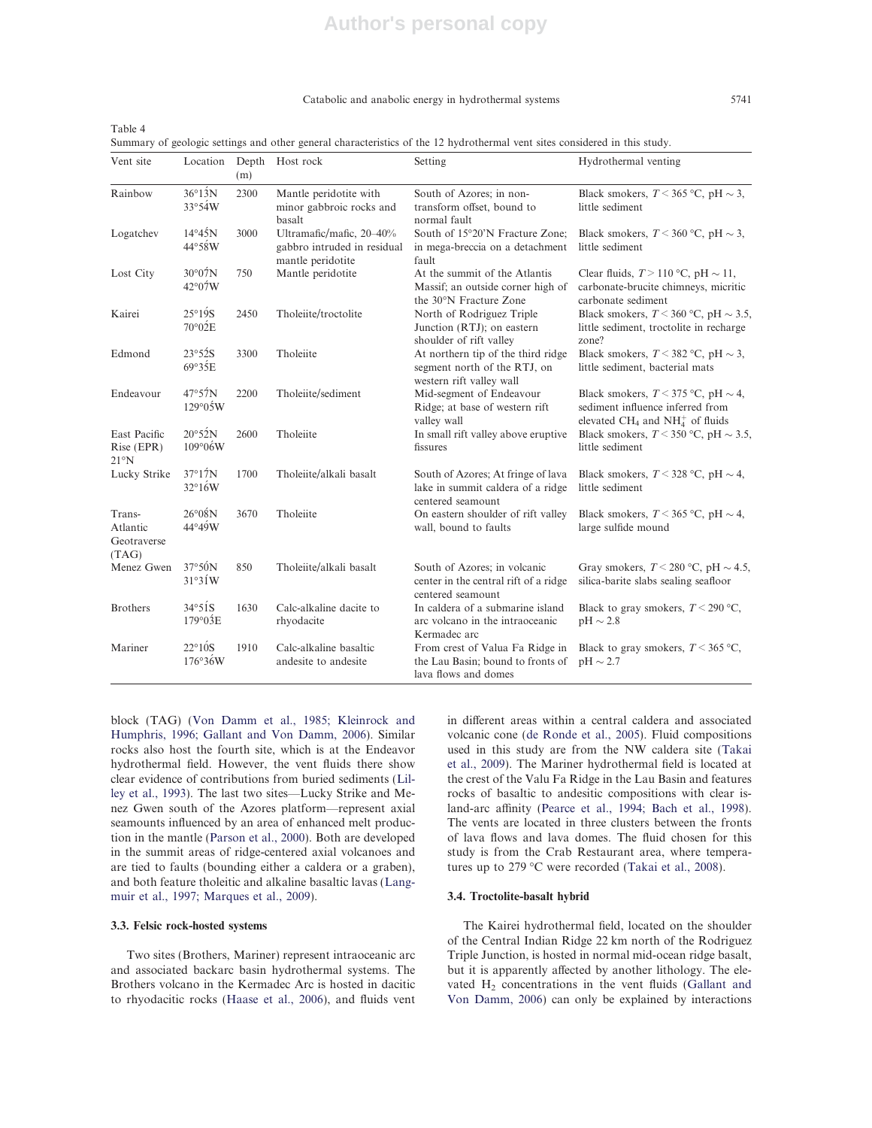| Vent site<br>Location                      |                                                     | (m)  | Depth Host rock                                                              | Setting                                                                                        | Hydrothermal venting                                                                                                        |  |  |  |
|--------------------------------------------|-----------------------------------------------------|------|------------------------------------------------------------------------------|------------------------------------------------------------------------------------------------|-----------------------------------------------------------------------------------------------------------------------------|--|--|--|
| Rainbow                                    | $36^\circ 13N$<br>$33^\circ 54W$                    | 2300 | Mantle peridotite with<br>minor gabbroic rocks and<br>basalt                 | South of Azores; in non-<br>transform offset, bound to<br>normal fault                         | Black smokers, $T < 365$ °C, pH $\sim$ 3,<br>little sediment                                                                |  |  |  |
| Logatchev                                  | $14^{\circ}45N$<br>44°58 <sup>W</sup>               | 3000 | Ultramafic/mafic, 20-40%<br>gabbro intruded in residual<br>mantle peridotite | South of 15°20'N Fracture Zone;<br>in mega-breccia on a detachment<br>fault                    | Black smokers, $T \le 360$ °C, pH $\sim$ 3,<br>little sediment                                                              |  |  |  |
| Lost City                                  | $30^{\circ}0\overset{\circ}{7}N$<br>$42^{\circ}07W$ | 750  | Mantle peridotite                                                            | At the summit of the Atlantis<br>Massif; an outside corner high of<br>the 30°N Fracture Zone   | Clear fluids, $T > 110$ °C, pH $\sim 11$ ,<br>carbonate-brucite chimneys, micritic<br>carbonate sediment                    |  |  |  |
| Kairei                                     | $25^{\circ}19S$<br>$70^{\circ}02E$                  | 2450 | Tholeiite/troctolite                                                         | North of Rodriguez Triple<br>Junction (RTJ); on eastern<br>shoulder of rift valley             | Black smokers, $T \le 360$ °C, pH $\sim$ 3.5,<br>little sediment, troctolite in recharge<br>zone?                           |  |  |  |
| Edmond                                     | $23^{\circ}52S$<br>$69^{\circ}35E$                  | 3300 | Tholeiite                                                                    | At northern tip of the third ridge<br>segment north of the RTJ, on<br>western rift valley wall | Black smokers, $T < 382$ °C, pH $\sim$ 3,<br>little sediment, bacterial mats                                                |  |  |  |
| Endeavour                                  | $47^{\circ}57N$<br>$129^\circ 05W$                  | 2200 | Tholeiite/sediment                                                           | Mid-segment of Endeavour<br>Ridge; at base of western rift<br>valley wall                      | Black smokers, $T \leq 375$ °C, pH $\sim 4$ ,<br>sediment influence inferred from<br>elevated $CH_4$ and $NH_4^+$ of fluids |  |  |  |
| East Pacific<br>Rise (EPR)<br>21°N         | $20^{\circ}52N$<br>$109^\circ 06W$                  | 2600 | Tholeiite                                                                    | In small rift valley above eruptive<br>fissures                                                | Black smokers, $T \le 350$ °C, pH $\sim$ 3.5,<br>little sediment                                                            |  |  |  |
| Lucky Strike                               | $37^\circ 17N$<br>$32^{\circ}16W$                   | 1700 | Tholeiite/alkali basalt                                                      | South of Azores; At fringe of lava<br>lake in summit caldera of a ridge<br>centered seamount   | Black smokers, $T < 328$ °C, pH $\sim$ 4,<br>little sediment                                                                |  |  |  |
| Trans-<br>Atlantic<br>Geotraverse<br>(TAG) | $26^{\circ}08N$<br>44°49 <sup>W</sup>               | 3670 | Tholeiite                                                                    | On eastern shoulder of rift valley<br>wall, bound to faults                                    | Black smokers, $T \leq 365$ °C, pH $\sim$ 4,<br>large sulfide mound                                                         |  |  |  |
| Menez Gwen                                 | $37^\circ 50N$<br>$31°31$ W                         | 850  | Tholeiite/alkali basalt                                                      | South of Azores; in volcanic<br>center in the central rift of a ridge<br>centered seamount     | Gray smokers, $T < 280$ °C, pH $\sim 4.5$ ,<br>silica-barite slabs sealing seafloor                                         |  |  |  |
| <b>Brothers</b>                            | $34°5$ 1S<br>179°03E                                | 1630 | Calc-alkaline dacite to<br>rhyodacite                                        | In caldera of a submarine island<br>arc volcano in the intraoceanic<br>Kermadec arc            | Black to gray smokers, $T < 290$ °C,<br>$pH \sim 2.8$                                                                       |  |  |  |
| Mariner                                    | $22^{\circ}10S$<br>176°36W                          | 1910 | Calc-alkaline basaltic<br>andesite to andesite                               | From crest of Valua Fa Ridge in<br>the Lau Basin; bound to fronts of<br>lava flows and domes   | Black to gray smokers, $T < 365$ °C,<br>$pH \sim 2.7$                                                                       |  |  |  |

Table 4

Summary of geologic settings and other general characteristics of the 12 hydrothermal vent sites considered in this study.

block (TAG) (Von Damm et al., 1985; Kleinrock and Humphris, 1996; Gallant and Von Damm, 2006). Similar rocks also host the fourth site, which is at the Endeavor hydrothermal field. However, the vent fluids there show clear evidence of contributions from buried sediments (Lilley et al., 1993). The last two sites—Lucky Strike and Menez Gwen south of the Azores platform—represent axial seamounts influenced by an area of enhanced melt production in the mantle (Parson et al., 2000). Both are developed in the summit areas of ridge-centered axial volcanoes and are tied to faults (bounding either a caldera or a graben), and both feature tholeitic and alkaline basaltic lavas (Langmuir et al., 1997; Marques et al., 2009).

#### 3.3. Felsic rock-hosted systems

Two sites (Brothers, Mariner) represent intraoceanic arc and associated backarc basin hydrothermal systems. The Brothers volcano in the Kermadec Arc is hosted in dacitic to rhyodacitic rocks (Haase et al., 2006), and fluids vent in different areas within a central caldera and associated volcanic cone (de Ronde et al., 2005). Fluid compositions used in this study are from the NW caldera site (Takai et al., 2009). The Mariner hydrothermal field is located at the crest of the Valu Fa Ridge in the Lau Basin and features rocks of basaltic to andesitic compositions with clear island-arc affinity (Pearce et al., 1994; Bach et al., 1998). The vents are located in three clusters between the fronts of lava flows and lava domes. The fluid chosen for this study is from the Crab Restaurant area, where temperatures up to  $279 \text{ °C}$  were recorded (Takai et al., 2008).

## 3.4. Troctolite-basalt hybrid

The Kairei hydrothermal field, located on the shoulder of the Central Indian Ridge 22 km north of the Rodriguez Triple Junction, is hosted in normal mid-ocean ridge basalt, but it is apparently affected by another lithology. The elevated  $H_2$  concentrations in the vent fluids (Gallant and Von Damm, 2006) can only be explained by interactions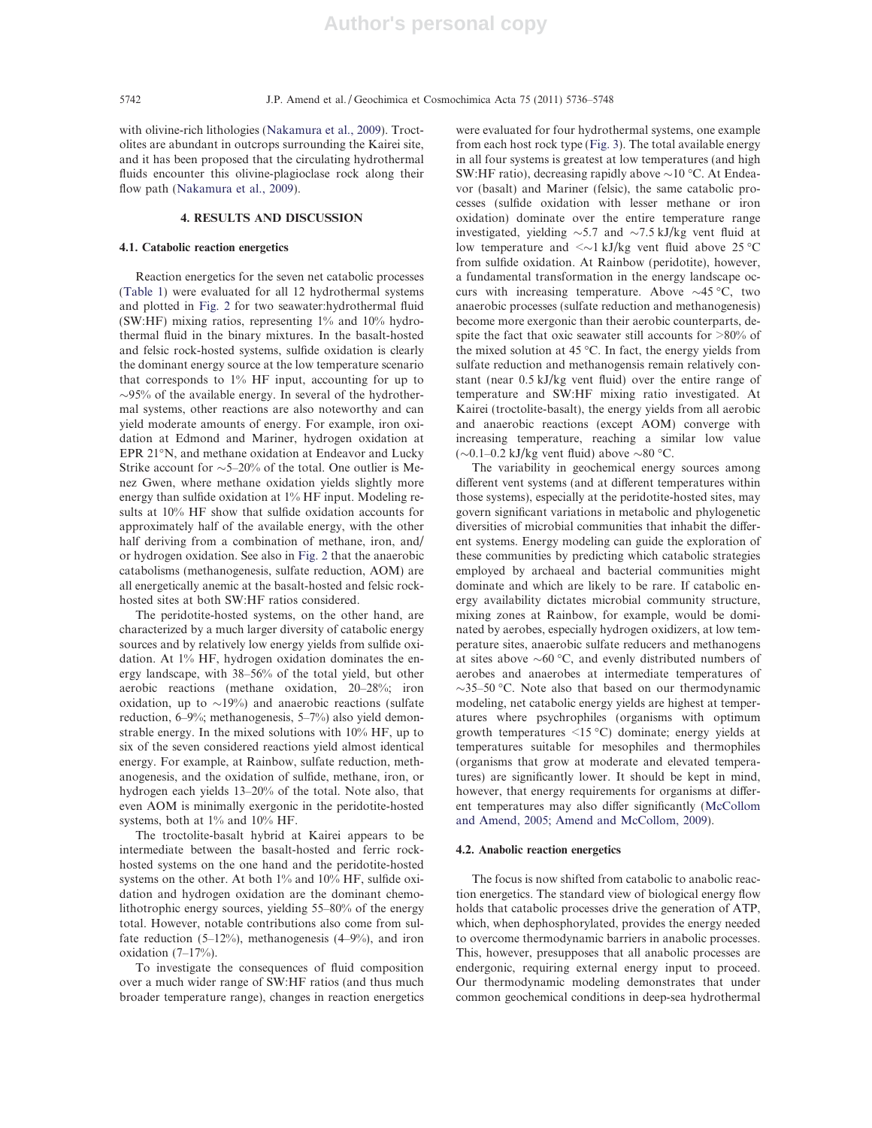with olivine-rich lithologies (Nakamura et al., 2009). Troctolites are abundant in outcrops surrounding the Kairei site, and it has been proposed that the circulating hydrothermal fluids encounter this olivine-plagioclase rock along their flow path (Nakamura et al., 2009).

## 4. RESULTS AND DISCUSSION

## 4.1. Catabolic reaction energetics

Reaction energetics for the seven net catabolic processes (Table 1) were evaluated for all 12 hydrothermal systems and plotted in Fig. 2 for two seawater:hydrothermal fluid (SW:HF) mixing ratios, representing 1% and 10% hydrothermal fluid in the binary mixtures. In the basalt-hosted and felsic rock-hosted systems, sulfide oxidation is clearly the dominant energy source at the low temperature scenario that corresponds to 1% HF input, accounting for up to  $\sim$ 95% of the available energy. In several of the hydrothermal systems, other reactions are also noteworthy and can yield moderate amounts of energy. For example, iron oxidation at Edmond and Mariner, hydrogen oxidation at EPR 21°N, and methane oxidation at Endeavor and Lucky Strike account for  $\sim$  5–20% of the total. One outlier is Menez Gwen, where methane oxidation yields slightly more energy than sulfide oxidation at 1% HF input. Modeling results at 10% HF show that sulfide oxidation accounts for approximately half of the available energy, with the other half deriving from a combination of methane, iron, and/ or hydrogen oxidation. See also in Fig. 2 that the anaerobic catabolisms (methanogenesis, sulfate reduction, AOM) are all energetically anemic at the basalt-hosted and felsic rockhosted sites at both SW:HF ratios considered.

The peridotite-hosted systems, on the other hand, are characterized by a much larger diversity of catabolic energy sources and by relatively low energy yields from sulfide oxidation. At 1% HF, hydrogen oxidation dominates the energy landscape, with 38–56% of the total yield, but other aerobic reactions (methane oxidation, 20–28%; iron oxidation, up to  $\sim$ 19%) and anaerobic reactions (sulfate reduction, 6–9%; methanogenesis, 5–7%) also yield demonstrable energy. In the mixed solutions with 10% HF, up to six of the seven considered reactions yield almost identical energy. For example, at Rainbow, sulfate reduction, methanogenesis, and the oxidation of sulfide, methane, iron, or hydrogen each yields 13–20% of the total. Note also, that even AOM is minimally exergonic in the peridotite-hosted systems, both at 1% and 10% HF.

The troctolite-basalt hybrid at Kairei appears to be intermediate between the basalt-hosted and ferric rockhosted systems on the one hand and the peridotite-hosted systems on the other. At both 1% and 10% HF, sulfide oxidation and hydrogen oxidation are the dominant chemolithotrophic energy sources, yielding 55–80% of the energy total. However, notable contributions also come from sulfate reduction  $(5-12\%)$ , methanogenesis  $(4-9\%)$ , and iron oxidation (7–17%).

To investigate the consequences of fluid composition over a much wider range of SW:HF ratios (and thus much broader temperature range), changes in reaction energetics

were evaluated for four hydrothermal systems, one example from each host rock type (Fig. 3). The total available energy in all four systems is greatest at low temperatures (and high SW:HF ratio), decreasing rapidly above  $\sim$ 10 °C. At Endeavor (basalt) and Mariner (felsic), the same catabolic processes (sulfide oxidation with lesser methane or iron oxidation) dominate over the entire temperature range investigated, yielding  $\sim 5.7$  and  $\sim 7.5$  kJ/kg vent fluid at low temperature and  $\langle \sim 1 \text{ kJ/kg}$  vent fluid above 25 °C from sulfide oxidation. At Rainbow (peridotite), however, a fundamental transformation in the energy landscape occurs with increasing temperature. Above  $\sim$ 45 °C, two anaerobic processes (sulfate reduction and methanogenesis) become more exergonic than their aerobic counterparts, despite the fact that oxic seawater still accounts for >80% of the mixed solution at  $45^{\circ}$ C. In fact, the energy yields from sulfate reduction and methanogensis remain relatively constant (near 0.5 kJ/kg vent fluid) over the entire range of temperature and SW:HF mixing ratio investigated. At Kairei (troctolite-basalt), the energy yields from all aerobic and anaerobic reactions (except AOM) converge with increasing temperature, reaching a similar low value  $(\sim 0.1 - 0.2 \text{ kJ/kg} \text{ vent fluid})$  above  $\sim 80 \text{ °C}$ .

The variability in geochemical energy sources among different vent systems (and at different temperatures within those systems), especially at the peridotite-hosted sites, may govern significant variations in metabolic and phylogenetic diversities of microbial communities that inhabit the different systems. Energy modeling can guide the exploration of these communities by predicting which catabolic strategies employed by archaeal and bacterial communities might dominate and which are likely to be rare. If catabolic energy availability dictates microbial community structure, mixing zones at Rainbow, for example, would be dominated by aerobes, especially hydrogen oxidizers, at low temperature sites, anaerobic sulfate reducers and methanogens at sites above  $\sim 60$  °C, and evenly distributed numbers of aerobes and anaerobes at intermediate temperatures of  $\sim$ 35–50 °C. Note also that based on our thermodynamic modeling, net catabolic energy yields are highest at temperatures where psychrophiles (organisms with optimum growth temperatures  $\leq 15 \degree C$ ) dominate; energy yields at temperatures suitable for mesophiles and thermophiles (organisms that grow at moderate and elevated temperatures) are significantly lower. It should be kept in mind, however, that energy requirements for organisms at different temperatures may also differ significantly (McCollom and Amend, 2005; Amend and McCollom, 2009).

#### 4.2. Anabolic reaction energetics

The focus is now shifted from catabolic to anabolic reaction energetics. The standard view of biological energy flow holds that catabolic processes drive the generation of ATP, which, when dephosphorylated, provides the energy needed to overcome thermodynamic barriers in anabolic processes. This, however, presupposes that all anabolic processes are endergonic, requiring external energy input to proceed. Our thermodynamic modeling demonstrates that under common geochemical conditions in deep-sea hydrothermal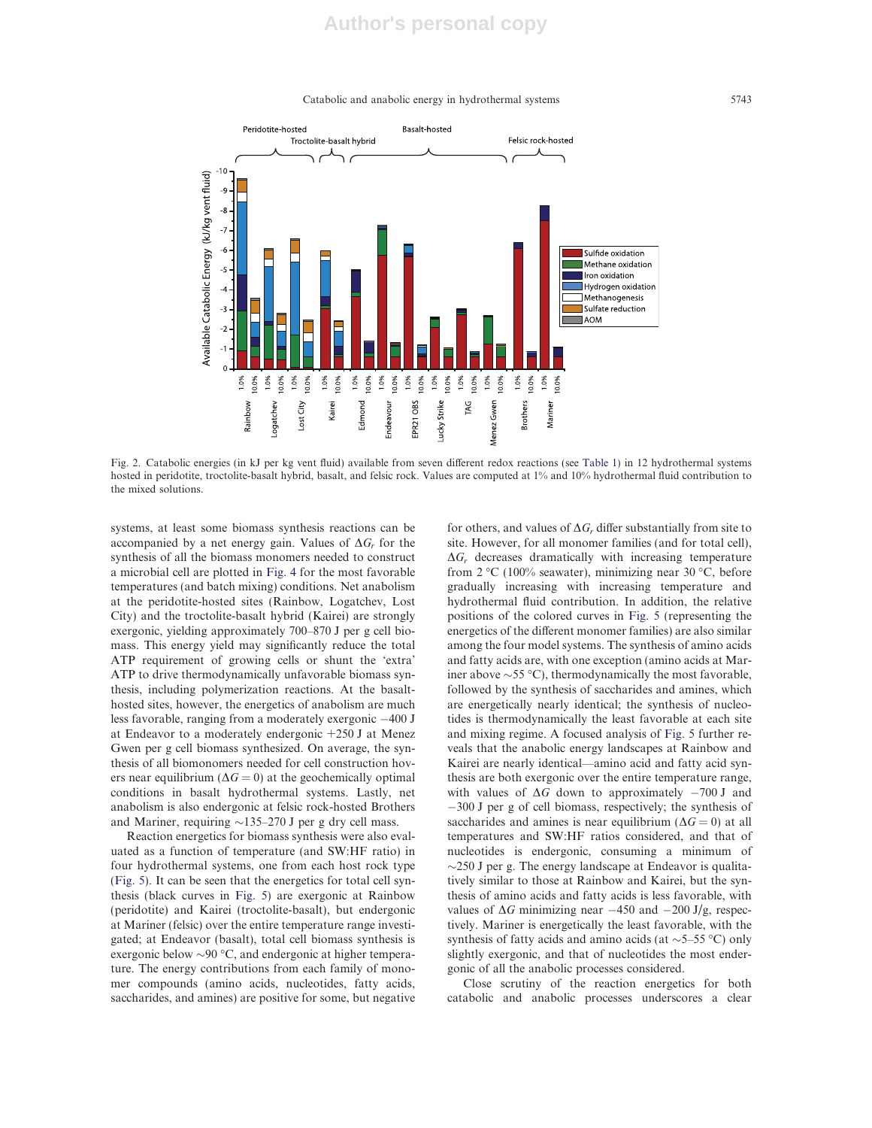

Fig. 2. Catabolic energies (in kJ per kg vent fluid) available from seven different redox reactions (see Table 1) in 12 hydrothermal systems hosted in peridotite, troctolite-basalt hybrid, basalt, and felsic rock. Values are computed at 1% and 10% hydrothermal fluid contribution to the mixed solutions.

systems, at least some biomass synthesis reactions can be accompanied by a net energy gain. Values of  $\Delta G_r$  for the synthesis of all the biomass monomers needed to construct a microbial cell are plotted in Fig. 4 for the most favorable temperatures (and batch mixing) conditions. Net anabolism at the peridotite-hosted sites (Rainbow, Logatchev, Lost City) and the troctolite-basalt hybrid (Kairei) are strongly exergonic, yielding approximately 700–870 J per g cell biomass. This energy yield may significantly reduce the total ATP requirement of growing cells or shunt the 'extra' ATP to drive thermodynamically unfavorable biomass synthesis, including polymerization reactions. At the basalthosted sites, however, the energetics of anabolism are much less favorable, ranging from a moderately exergonic -400 J at Endeavor to a moderately endergonic +250 J at Menez Gwen per g cell biomass synthesized. On average, the synthesis of all biomonomers needed for cell construction hovers near equilibrium ( $\Delta G = 0$ ) at the geochemically optimal conditions in basalt hydrothermal systems. Lastly, net anabolism is also endergonic at felsic rock-hosted Brothers and Mariner, requiring  $\sim$ 135–270 J per g dry cell mass.

Reaction energetics for biomass synthesis were also evaluated as a function of temperature (and SW:HF ratio) in four hydrothermal systems, one from each host rock type (Fig. 5). It can be seen that the energetics for total cell synthesis (black curves in Fig. 5) are exergonic at Rainbow (peridotite) and Kairei (troctolite-basalt), but endergonic at Mariner (felsic) over the entire temperature range investigated; at Endeavor (basalt), total cell biomass synthesis is exergonic below  $\sim$ 90 °C, and endergonic at higher temperature. The energy contributions from each family of monomer compounds (amino acids, nucleotides, fatty acids, saccharides, and amines) are positive for some, but negative

for others, and values of  $\Delta G_r$  differ substantially from site to site. However, for all monomer families (and for total cell),  $\Delta G_r$  decreases dramatically with increasing temperature from 2  $\rm{°C}$  (100% seawater), minimizing near 30  $\rm{°C}$ , before gradually increasing with increasing temperature and hydrothermal fluid contribution. In addition, the relative positions of the colored curves in Fig. 5 (representing the energetics of the different monomer families) are also similar among the four model systems. The synthesis of amino acids and fatty acids are, with one exception (amino acids at Mariner above  $\sim$  55 °C), thermodynamically the most favorable, followed by the synthesis of saccharides and amines, which are energetically nearly identical; the synthesis of nucleotides is thermodynamically the least favorable at each site and mixing regime. A focused analysis of Fig. 5 further reveals that the anabolic energy landscapes at Rainbow and Kairei are nearly identical—amino acid and fatty acid synthesis are both exergonic over the entire temperature range, with values of  $\Delta G$  down to approximately  $-700$  J and 300 J per g of cell biomass, respectively; the synthesis of saccharides and amines is near equilibrium ( $\Delta G = 0$ ) at all temperatures and SW:HF ratios considered, and that of nucleotides is endergonic, consuming a minimum of  $\sim$ 250 J per g. The energy landscape at Endeavor is qualitatively similar to those at Rainbow and Kairei, but the synthesis of amino acids and fatty acids is less favorable, with values of  $\Delta G$  minimizing near  $-450$  and  $-200$  J/g, respectively. Mariner is energetically the least favorable, with the synthesis of fatty acids and amino acids (at  $\sim$ 5–55 °C) only slightly exergonic, and that of nucleotides the most endergonic of all the anabolic processes considered.

Close scrutiny of the reaction energetics for both catabolic and anabolic processes underscores a clear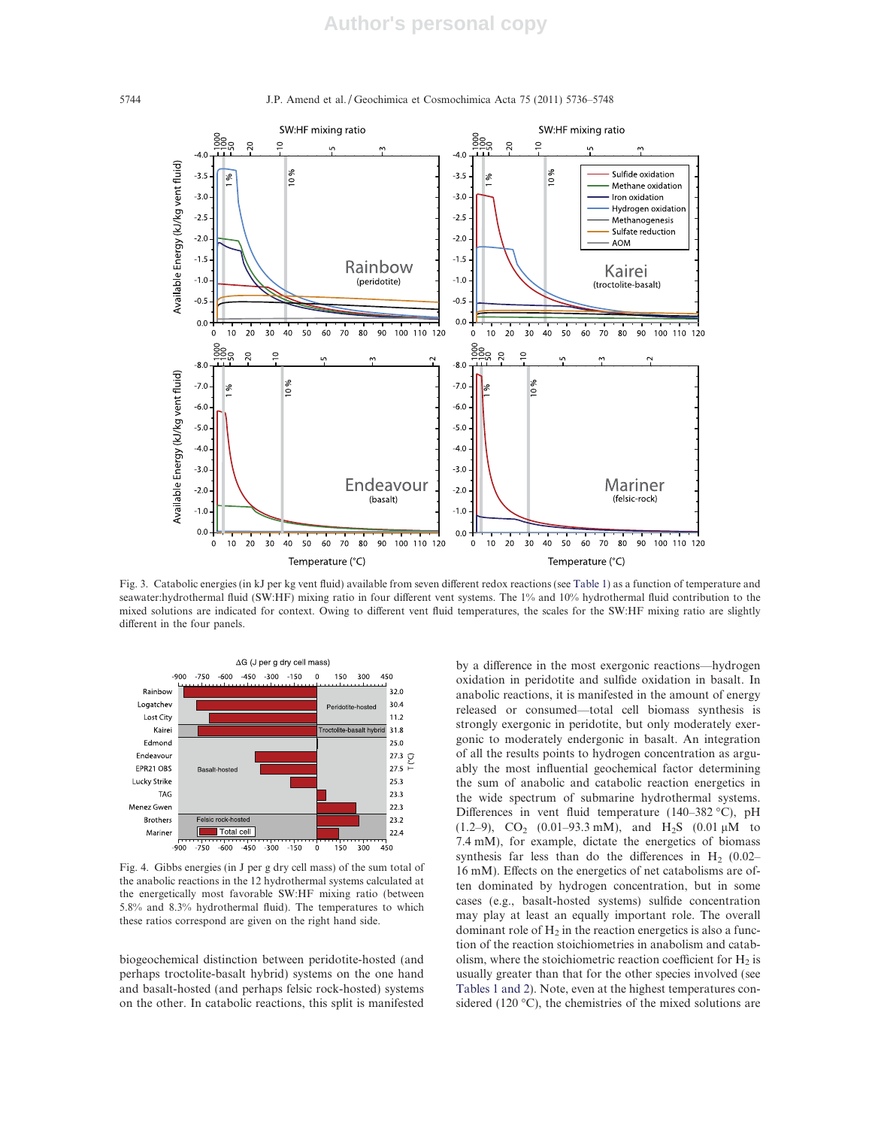

Fig. 3. Catabolic energies (in kJ per kg vent fluid) available from seven different redox reactions (see Table 1) as a function of temperature and seawater:hydrothermal fluid (SW:HF) mixing ratio in four different vent systems. The 1% and 10% hydrothermal fluid contribution to the mixed solutions are indicated for context. Owing to different vent fluid temperatures, the scales for the SW:HF mixing ratio are slightly different in the four panels.



Fig. 4. Gibbs energies (in J per g dry cell mass) of the sum total of the anabolic reactions in the 12 hydrothermal systems calculated at the energetically most favorable SW:HF mixing ratio (between 5.8% and 8.3% hydrothermal fluid). The temperatures to which these ratios correspond are given on the right hand side.

biogeochemical distinction between peridotite-hosted (and perhaps troctolite-basalt hybrid) systems on the one hand and basalt-hosted (and perhaps felsic rock-hosted) systems on the other. In catabolic reactions, this split is manifested

by a difference in the most exergonic reactions—hydrogen oxidation in peridotite and sulfide oxidation in basalt. In anabolic reactions, it is manifested in the amount of energy released or consumed—total cell biomass synthesis is strongly exergonic in peridotite, but only moderately exergonic to moderately endergonic in basalt. An integration of all the results points to hydrogen concentration as arguably the most influential geochemical factor determining the sum of anabolic and catabolic reaction energetics in the wide spectrum of submarine hydrothermal systems. Differences in vent fluid temperature  $(140-382 \degree C)$ , pH  $(1.2-9)$ , CO<sub>2</sub>  $(0.01-93.3 \text{ mM})$ , and H<sub>2</sub>S  $(0.01 \mu \text{M})$  to 7.4 mM), for example, dictate the energetics of biomass synthesis far less than do the differences in  $H_2$  (0.02– 16 mM). Effects on the energetics of net catabolisms are often dominated by hydrogen concentration, but in some cases (e.g., basalt-hosted systems) sulfide concentration may play at least an equally important role. The overall dominant role of  $H_2$  in the reaction energetics is also a function of the reaction stoichiometries in anabolism and catabolism, where the stoichiometric reaction coefficient for  $H_2$  is usually greater than that for the other species involved (see Tables 1 and 2). Note, even at the highest temperatures considered (120 $\degree$ C), the chemistries of the mixed solutions are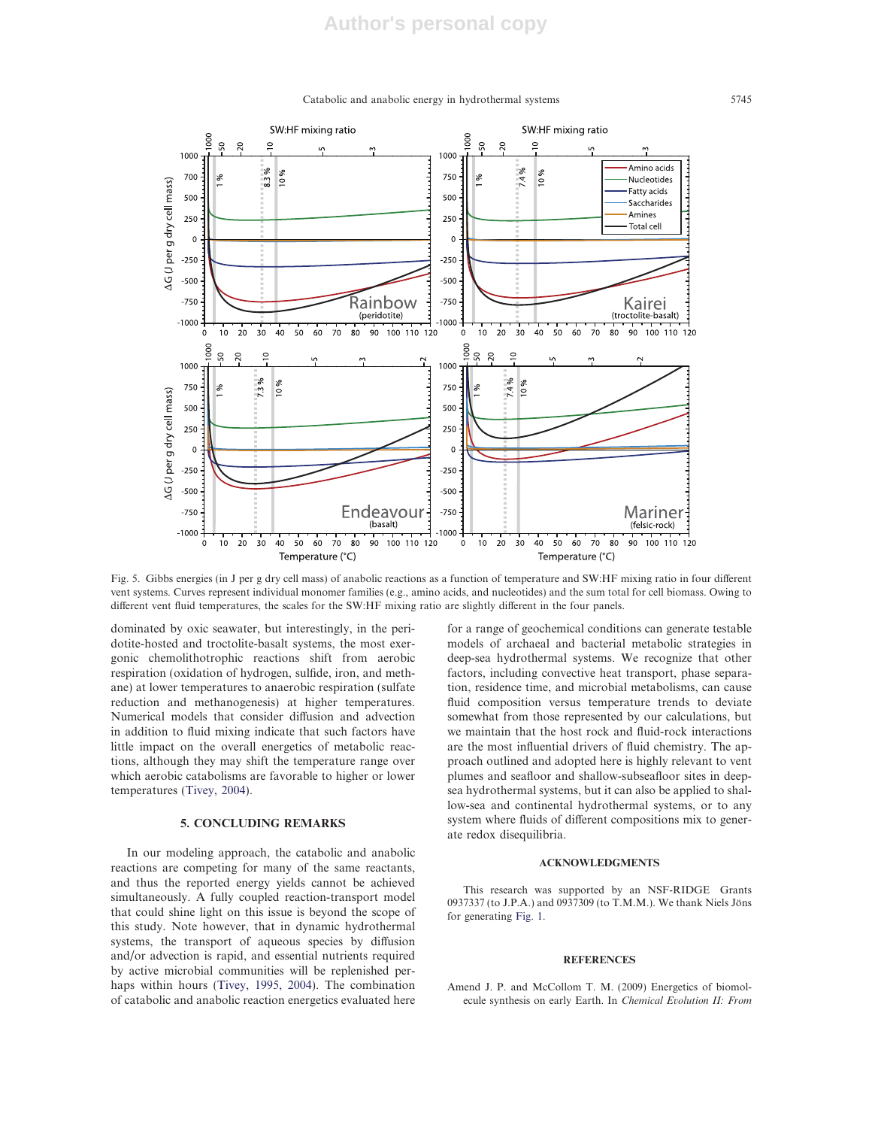

Fig. 5. Gibbs energies (in J per g dry cell mass) of anabolic reactions as a function of temperature and SW:HF mixing ratio in four different vent systems. Curves represent individual monomer families (e.g., amino acids, and nucleotides) and the sum total for cell biomass. Owing to different vent fluid temperatures, the scales for the SW:HF mixing ratio are slightly different in the four panels.

dominated by oxic seawater, but interestingly, in the peridotite-hosted and troctolite-basalt systems, the most exergonic chemolithotrophic reactions shift from aerobic respiration (oxidation of hydrogen, sulfide, iron, and methane) at lower temperatures to anaerobic respiration (sulfate reduction and methanogenesis) at higher temperatures. Numerical models that consider diffusion and advection in addition to fluid mixing indicate that such factors have little impact on the overall energetics of metabolic reactions, although they may shift the temperature range over which aerobic catabolisms are favorable to higher or lower temperatures (Tivey, 2004).

## 5. CONCLUDING REMARKS

In our modeling approach, the catabolic and anabolic reactions are competing for many of the same reactants, and thus the reported energy yields cannot be achieved simultaneously. A fully coupled reaction-transport model that could shine light on this issue is beyond the scope of this study. Note however, that in dynamic hydrothermal systems, the transport of aqueous species by diffusion and/or advection is rapid, and essential nutrients required by active microbial communities will be replenished perhaps within hours (Tivey, 1995, 2004). The combination of catabolic and anabolic reaction energetics evaluated here

for a range of geochemical conditions can generate testable models of archaeal and bacterial metabolic strategies in deep-sea hydrothermal systems. We recognize that other factors, including convective heat transport, phase separation, residence time, and microbial metabolisms, can cause fluid composition versus temperature trends to deviate somewhat from those represented by our calculations, but we maintain that the host rock and fluid-rock interactions are the most influential drivers of fluid chemistry. The approach outlined and adopted here is highly relevant to vent plumes and seafloor and shallow-subseafloor sites in deepsea hydrothermal systems, but it can also be applied to shallow-sea and continental hydrothermal systems, or to any system where fluids of different compositions mix to generate redox disequilibria.

## ACKNOWLEDGMENTS

This research was supported by an NSF-RIDGE Grants 0937337 (to J.P.A.) and 0937309 (to T.M.M.). We thank Niels Jöns for generating Fig. 1.

#### **REFERENCES**

Amend J. P. and McCollom T. M. (2009) Energetics of biomolecule synthesis on early Earth. In Chemical Evolution II: From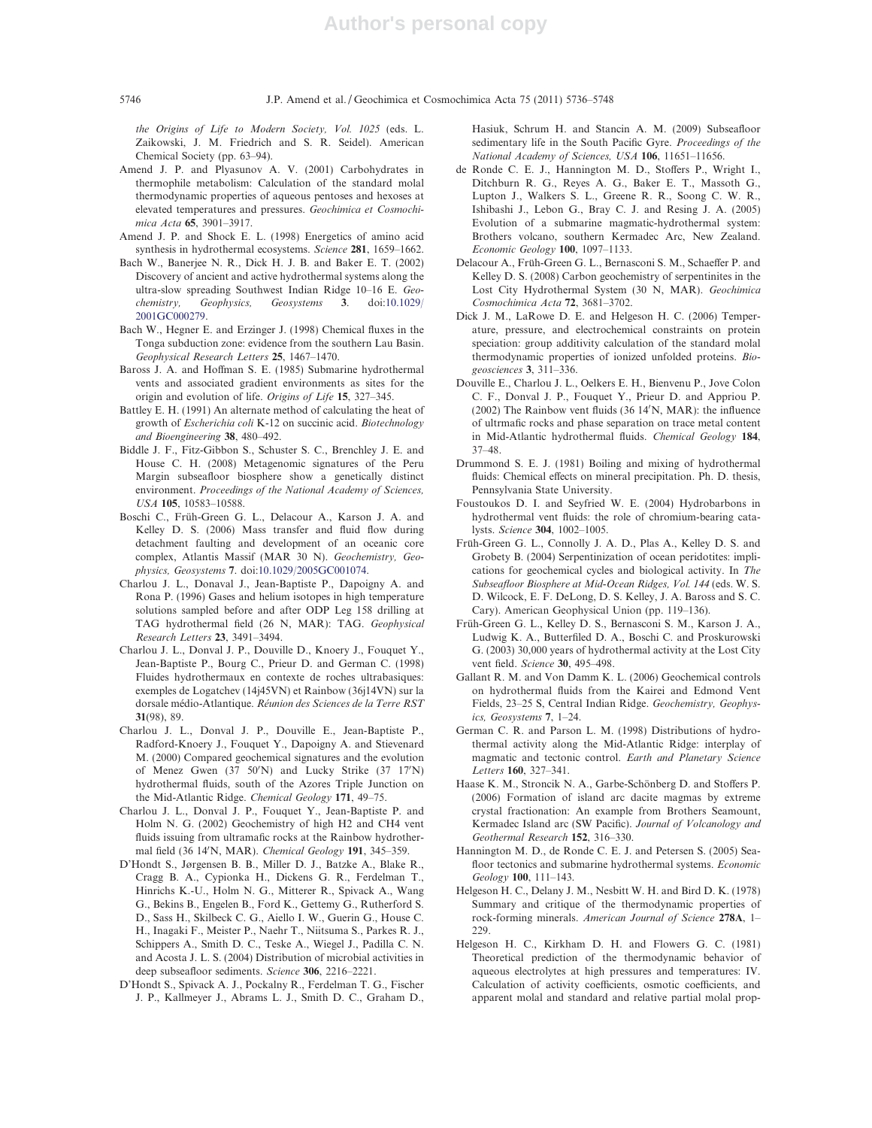the Origins of Life to Modern Society, Vol. 1025 (eds. L. Zaikowski, J. M. Friedrich and S. R. Seidel). American Chemical Society (pp. 63–94).

- Amend J. P. and Plyasunov A. V. (2001) Carbohydrates in thermophile metabolism: Calculation of the standard molal thermodynamic properties of aqueous pentoses and hexoses at elevated temperatures and pressures. Geochimica et Cosmochimica Acta 65, 3901–3917.
- Amend J. P. and Shock E. L. (1998) Energetics of amino acid synthesis in hydrothermal ecosystems. Science 281, 1659-1662.
- Bach W., Banerjee N. R., Dick H. J. B. and Baker E. T. (2002) Discovery of ancient and active hydrothermal systems along the ultra-slow spreading Southwest Indian Ridge 10–16 E. Geochemistry, Geophysics, Geosystems 3. doi:10.1029/ 2001GC000279.
- Bach W., Hegner E. and Erzinger J. (1998) Chemical fluxes in the Tonga subduction zone: evidence from the southern Lau Basin. Geophysical Research Letters 25, 1467–1470.
- Baross J. A. and Hoffman S. E. (1985) Submarine hydrothermal vents and associated gradient environments as sites for the origin and evolution of life. Origins of Life 15, 327–345.
- Battley E. H. (1991) An alternate method of calculating the heat of growth of Escherichia coli K-12 on succinic acid. Biotechnology and Bioengineering 38, 480–492.
- Biddle J. F., Fitz-Gibbon S., Schuster S. C., Brenchley J. E. and House C. H. (2008) Metagenomic signatures of the Peru Margin subseafloor biosphere show a genetically distinct environment. Proceedings of the National Academy of Sciences, USA 105, 10583–10588.
- Boschi C., Früh-Green G. L., Delacour A., Karson J. A. and Kelley D. S. (2006) Mass transfer and fluid flow during detachment faulting and development of an oceanic core complex, Atlantis Massif (MAR 30 N). Geochemistry, Geophysics, Geosystems 7. doi:10.1029/2005GC001074.
- Charlou J. L., Donaval J., Jean-Baptiste P., Dapoigny A. and Rona P. (1996) Gases and helium isotopes in high temperature solutions sampled before and after ODP Leg 158 drilling at TAG hydrothermal field (26 N, MAR): TAG. Geophysical Research Letters 23, 3491–3494.
- Charlou J. L., Donval J. P., Douville D., Knoery J., Fouquet Y., Jean-Baptiste P., Bourg C., Prieur D. and German C. (1998) Fluides hydrothermaux en contexte de roches ultrabasiques: exemples de Logatchev (14j45VN) et Rainbow (36j14VN) sur la dorsale médio-Atlantique. Réunion des Sciences de la Terre RST 31(98), 89.
- Charlou J. L., Donval J. P., Douville E., Jean-Baptiste P., Radford-Knoery J., Fouquet Y., Dapoigny A. and Stievenard M. (2000) Compared geochemical signatures and the evolution of Menez Gwen  $(37 \t50^{\prime} N)$  and Lucky Strike  $(37 \t17^{\prime} N)$ hydrothermal fluids, south of the Azores Triple Junction on the Mid-Atlantic Ridge. Chemical Geology 171, 49–75.
- Charlou J. L., Donval J. P., Fouquet Y., Jean-Baptiste P. and Holm N. G. (2002) Geochemistry of high H2 and CH4 vent fluids issuing from ultramafic rocks at the Rainbow hydrothermal field (36 14'N, MAR). Chemical Geology 191, 345-359.
- D'Hondt S., Jørgensen B. B., Miller D. J., Batzke A., Blake R., Cragg B. A., Cypionka H., Dickens G. R., Ferdelman T., Hinrichs K.-U., Holm N. G., Mitterer R., Spivack A., Wang G., Bekins B., Engelen B., Ford K., Gettemy G., Rutherford S. D., Sass H., Skilbeck C. G., Aiello I. W., Guerin G., House C. H., Inagaki F., Meister P., Naehr T., Niitsuma S., Parkes R. J., Schippers A., Smith D. C., Teske A., Wiegel J., Padilla C. N. and Acosta J. L. S. (2004) Distribution of microbial activities in deep subseafloor sediments. Science 306, 2216–2221.
- D'Hondt S., Spivack A. J., Pockalny R., Ferdelman T. G., Fischer J. P., Kallmeyer J., Abrams L. J., Smith D. C., Graham D.,

Hasiuk, Schrum H. and Stancin A. M. (2009) Subseafloor sedimentary life in the South Pacific Gyre. Proceedings of the National Academy of Sciences, USA 106, 11651–11656.

- de Ronde C. E. J., Hannington M. D., Stoffers P., Wright I., Ditchburn R. G., Reyes A. G., Baker E. T., Massoth G., Lupton J., Walkers S. L., Greene R. R., Soong C. W. R., Ishibashi J., Lebon G., Bray C. J. and Resing J. A. (2005) Evolution of a submarine magmatic-hydrothermal system: Brothers volcano, southern Kermadec Arc, New Zealand. Economic Geology 100, 1097–1133.
- Delacour A., Früh-Green G. L., Bernasconi S. M., Schaeffer P. and Kelley D. S. (2008) Carbon geochemistry of serpentinites in the Lost City Hydrothermal System (30 N, MAR). Geochimica Cosmochimica Acta 72, 3681–3702.
- Dick J. M., LaRowe D. E. and Helgeson H. C. (2006) Temperature, pressure, and electrochemical constraints on protein speciation: group additivity calculation of the standard molal thermodynamic properties of ionized unfolded proteins. Biogeosciences 3, 311–336.
- Douville E., Charlou J. L., Oelkers E. H., Bienvenu P., Jove Colon C. F., Donval J. P., Fouquet Y., Prieur D. and Appriou P.  $(2002)$  The Rainbow vent fluids  $(36\ 14/N, MAR)$ : the influence of ultrmafic rocks and phase separation on trace metal content in Mid-Atlantic hydrothermal fluids. Chemical Geology 184, 37–48.
- Drummond S. E. J. (1981) Boiling and mixing of hydrothermal fluids: Chemical effects on mineral precipitation. Ph. D. thesis, Pennsylvania State University.
- Foustoukos D. I. and Seyfried W. E. (2004) Hydrobarbons in hydrothermal vent fluids: the role of chromium-bearing catalysts. Science 304, 1002–1005.
- Früh-Green G. L., Connolly J. A. D., Plas A., Kelley D. S. and Grobety B. (2004) Serpentinization of ocean peridotites: implications for geochemical cycles and biological activity. In The Subseafloor Biosphere at Mid-Ocean Ridges, Vol. 144 (eds. W. S. D. Wilcock, E. F. DeLong, D. S. Kelley, J. A. Baross and S. C. Cary). American Geophysical Union (pp. 119–136).
- Früh-Green G. L., Kelley D. S., Bernasconi S. M., Karson J. A., Ludwig K. A., Butterfiled D. A., Boschi C. and Proskurowski G. (2003) 30,000 years of hydrothermal activity at the Lost City vent field. Science 30, 495–498.
- Gallant R. M. and Von Damm K. L. (2006) Geochemical controls on hydrothermal fluids from the Kairei and Edmond Vent Fields, 23–25 S, Central Indian Ridge. Geochemistry, Geophysics, Geosystems 7, 1–24.
- German C. R. and Parson L. M. (1998) Distributions of hydrothermal activity along the Mid-Atlantic Ridge: interplay of magmatic and tectonic control. Earth and Planetary Science Letters 160, 327–341.
- Haase K. M., Stroncik N. A., Garbe-Schönberg D. and Stoffers P. (2006) Formation of island arc dacite magmas by extreme crystal fractionation: An example from Brothers Seamount, Kermadec Island arc (SW Pacific). Journal of Volcanology and Geothermal Research 152, 316–330.
- Hannington M. D., de Ronde C. E. J. and Petersen S. (2005) Seafloor tectonics and submarine hydrothermal systems. Economic Geology 100, 111–143.
- Helgeson H. C., Delany J. M., Nesbitt W. H. and Bird D. K. (1978) Summary and critique of the thermodynamic properties of rock-forming minerals. American Journal of Science 278A, 1– 229.
- Helgeson H. C., Kirkham D. H. and Flowers G. C. (1981) Theoretical prediction of the thermodynamic behavior of aqueous electrolytes at high pressures and temperatures: IV. Calculation of activity coefficients, osmotic coefficients, and apparent molal and standard and relative partial molal prop-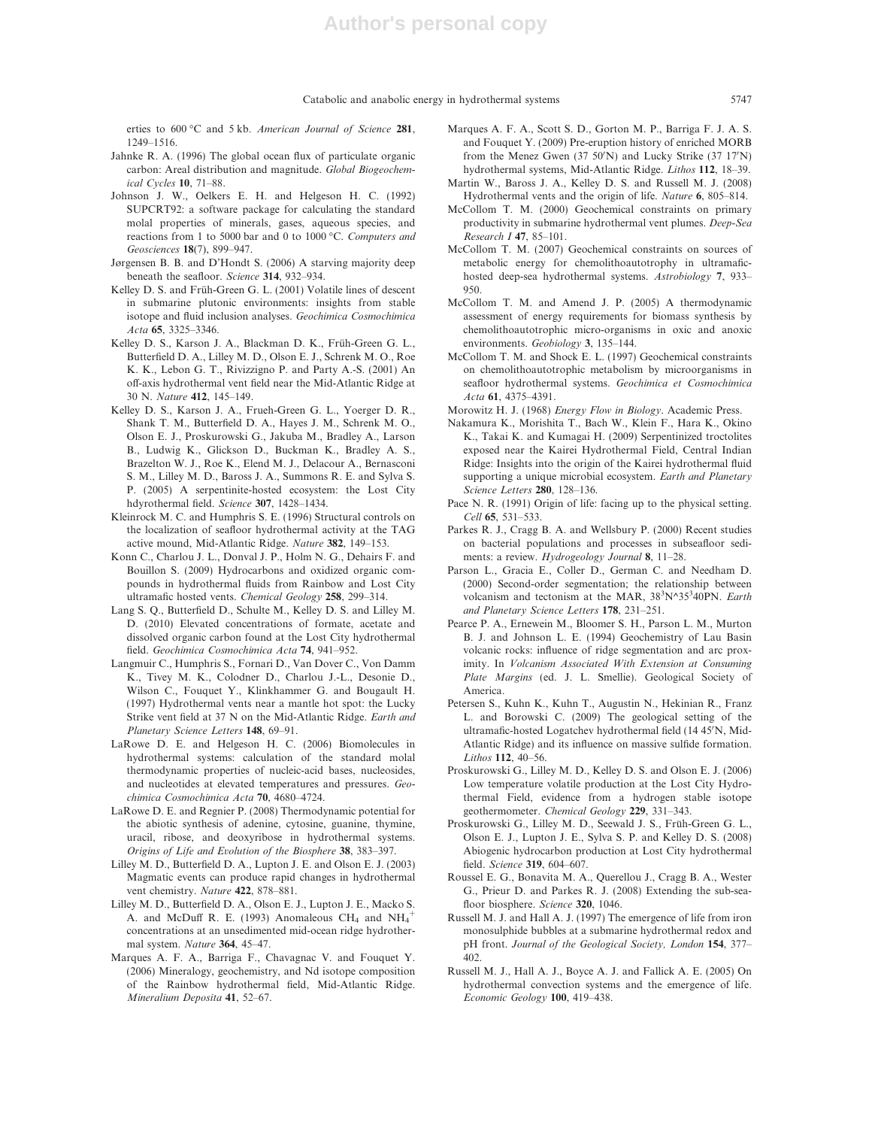erties to 600 °C and 5 kb. American Journal of Science 281, 1249–1516.

- Jahnke R. A. (1996) The global ocean flux of particulate organic carbon: Areal distribution and magnitude. Global Biogeochemical Cycles 10, 71–88.
- Johnson J. W., Oelkers E. H. and Helgeson H. C. (1992) SUPCRT92: a software package for calculating the standard molal properties of minerals, gases, aqueous species, and reactions from 1 to 5000 bar and 0 to 1000 °C. Computers and Geosciences 18(7), 899–947.
- Jørgensen B. B. and D'Hondt S. (2006) A starving majority deep beneath the seafloor. Science 314, 932–934.
- Kelley D. S. and Früh-Green G. L. (2001) Volatile lines of descent in submarine plutonic environments: insights from stable isotope and fluid inclusion analyses. Geochimica Cosmochimica Acta 65, 3325–3346.
- Kelley D. S., Karson J. A., Blackman D. K., Früh-Green G. L., Butterfield D. A., Lilley M. D., Olson E. J., Schrenk M. O., Roe K. K., Lebon G. T., Rivizzigno P. and Party A.-S. (2001) An off-axis hydrothermal vent field near the Mid-Atlantic Ridge at 30 N. Nature 412, 145–149.
- Kelley D. S., Karson J. A., Frueh-Green G. L., Yoerger D. R., Shank T. M., Butterfield D. A., Hayes J. M., Schrenk M. O., Olson E. J., Proskurowski G., Jakuba M., Bradley A., Larson B., Ludwig K., Glickson D., Buckman K., Bradley A. S., Brazelton W. J., Roe K., Elend M. J., Delacour A., Bernasconi S. M., Lilley M. D., Baross J. A., Summons R. E. and Sylva S. P. (2005) A serpentinite-hosted ecosystem: the Lost City hdyrothermal field. Science 307, 1428-1434.
- Kleinrock M. C. and Humphris S. E. (1996) Structural controls on the localization of seafloor hydrothermal activity at the TAG active mound, Mid-Atlantic Ridge. Nature 382, 149–153.
- Konn C., Charlou J. L., Donval J. P., Holm N. G., Dehairs F. and Bouillon S. (2009) Hydrocarbons and oxidized organic compounds in hydrothermal fluids from Rainbow and Lost City ultramafic hosted vents. Chemical Geology 258, 299-314.
- Lang S. Q., Butterfield D., Schulte M., Kelley D. S. and Lilley M. D. (2010) Elevated concentrations of formate, acetate and dissolved organic carbon found at the Lost City hydrothermal field. Geochimica Cosmochimica Acta 74, 941–952.
- Langmuir C., Humphris S., Fornari D., Van Dover C., Von Damm K., Tivey M. K., Colodner D., Charlou J.-L., Desonie D., Wilson C., Fouquet Y., Klinkhammer G. and Bougault H. (1997) Hydrothermal vents near a mantle hot spot: the Lucky Strike vent field at 37 N on the Mid-Atlantic Ridge. Earth and Planetary Science Letters 148, 69–91.
- LaRowe D. E. and Helgeson H. C. (2006) Biomolecules in hydrothermal systems: calculation of the standard molal thermodynamic properties of nucleic-acid bases, nucleosides, and nucleotides at elevated temperatures and pressures. Geochimica Cosmochimica Acta 70, 4680–4724.
- LaRowe D. E. and Regnier P. (2008) Thermodynamic potential for the abiotic synthesis of adenine, cytosine, guanine, thymine, uracil, ribose, and deoxyribose in hydrothermal systems. Origins of Life and Evolution of the Biosphere 38, 383-397.
- Lilley M. D., Butterfield D. A., Lupton J. E. and Olson E. J. (2003) Magmatic events can produce rapid changes in hydrothermal vent chemistry. Nature 422, 878–881.
- Lilley M. D., Butterfield D. A., Olson E. J., Lupton J. E., Macko S. A. and McDuff R. E. (1993) Anomaleous CH<sub>4</sub> and NH<sub>4</sub><sup>+</sup> concentrations at an unsedimented mid-ocean ridge hydrothermal system. Nature 364, 45–47.
- Marques A. F. A., Barriga F., Chavagnac V. and Fouquet Y. (2006) Mineralogy, geochemistry, and Nd isotope composition of the Rainbow hydrothermal field, Mid-Atlantic Ridge. Mineralium Deposita 41, 52–67.
- Marques A. F. A., Scott S. D., Gorton M. P., Barriga F. J. A. S. and Fouquet Y. (2009) Pre-eruption history of enriched MORB from the Menez Gwen  $(37 50'N)$  and Lucky Strike  $(37 17'N)$ hydrothermal systems, Mid-Atlantic Ridge. Lithos 112, 18–39.
- Martin W., Baross J. A., Kelley D. S. and Russell M. J. (2008) Hydrothermal vents and the origin of life. Nature 6, 805–814.
- McCollom T. M. (2000) Geochemical constraints on primary productivity in submarine hydrothermal vent plumes. Deep-Sea Research I 47, 85–101.
- McCollom T. M. (2007) Geochemical constraints on sources of metabolic energy for chemolithoautotrophy in ultramafichosted deep-sea hydrothermal systems. Astrobiology 7, 933– 950.
- McCollom T. M. and Amend J. P. (2005) A thermodynamic assessment of energy requirements for biomass synthesis by chemolithoautotrophic micro-organisms in oxic and anoxic environments. Geobiology 3, 135–144.
- McCollom T. M. and Shock E. L. (1997) Geochemical constraints on chemolithoautotrophic metabolism by microorganisms in seafloor hydrothermal systems. Geochimica et Cosmochimica Acta 61, 4375–4391.
- Morowitz H. J. (1968) Energy Flow in Biology. Academic Press.
- Nakamura K., Morishita T., Bach W., Klein F., Hara K., Okino K., Takai K. and Kumagai H. (2009) Serpentinized troctolites exposed near the Kairei Hydrothermal Field, Central Indian Ridge: Insights into the origin of the Kairei hydrothermal fluid supporting a unique microbial ecosystem. Earth and Planetary Science Letters 280, 128–136.
- Pace N. R. (1991) Origin of life: facing up to the physical setting. Cell 65, 531–533.
- Parkes R. J., Cragg B. A. and Wellsbury P. (2000) Recent studies on bacterial populations and processes in subseafloor sediments: a review. Hydrogeology Journal 8, 11–28.
- Parson L., Gracia E., Coller D., German C. and Needham D. (2000) Second-order segmentation; the relationship between volcanism and tectonism at the MAR, 38<sup>3</sup>N^35<sup>3</sup>40PN. Earth and Planetary Science Letters 178, 231–251.
- Pearce P. A., Ernewein M., Bloomer S. H., Parson L. M., Murton B. J. and Johnson L. E. (1994) Geochemistry of Lau Basin volcanic rocks: influence of ridge segmentation and arc proximity. In Volcanism Associated With Extension at Consuming Plate Margins (ed. J. L. Smellie). Geological Society of America.
- Petersen S., Kuhn K., Kuhn T., Augustin N., Hekinian R., Franz L. and Borowski C. (2009) The geological setting of the ultramafic-hosted Logatchev hydrothermal field (14 45'N, Mid-Atlantic Ridge) and its influence on massive sulfide formation. Lithos 112, 40–56.
- Proskurowski G., Lilley M. D., Kelley D. S. and Olson E. J. (2006) Low temperature volatile production at the Lost City Hydrothermal Field, evidence from a hydrogen stable isotope geothermometer. Chemical Geology 229, 331–343.
- Proskurowski G., Lilley M. D., Seewald J. S., Früh-Green G. L., Olson E. J., Lupton J. E., Sylva S. P. and Kelley D. S. (2008) Abiogenic hydrocarbon production at Lost City hydrothermal field. Science 319, 604–607.
- Roussel E. G., Bonavita M. A., Querellou J., Cragg B. A., Wester G., Prieur D. and Parkes R. J. (2008) Extending the sub-seafloor biosphere. Science 320, 1046.
- Russell M. J. and Hall A. J. (1997) The emergence of life from iron monosulphide bubbles at a submarine hydrothermal redox and pH front. Journal of the Geological Society, London 154, 377-402.
- Russell M. J., Hall A. J., Boyce A. J. and Fallick A. E. (2005) On hydrothermal convection systems and the emergence of life. Economic Geology 100, 419–438.